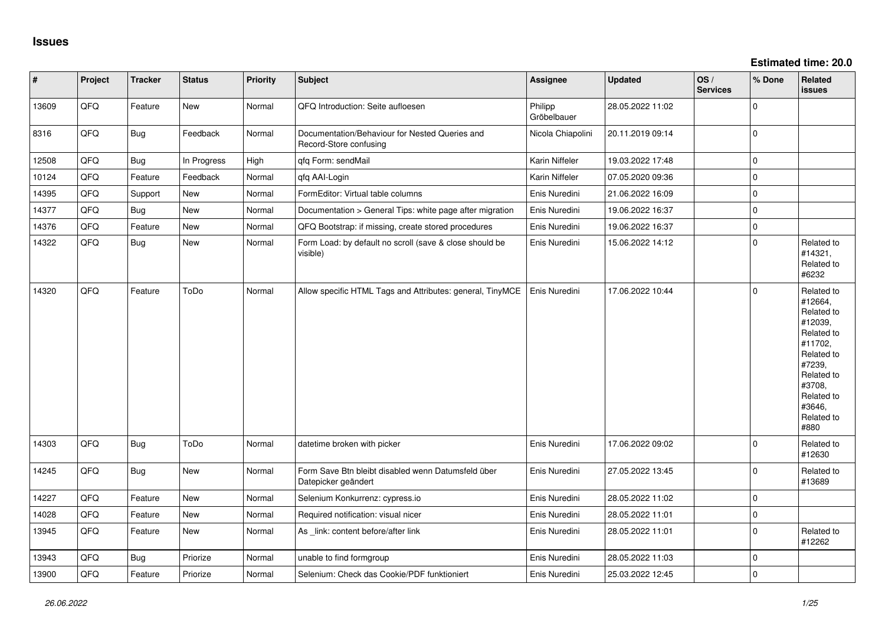| $\vert$ # | Project | <b>Tracker</b> | <b>Status</b> | <b>Priority</b> | <b>Subject</b>                                                            | <b>Assignee</b>        | <b>Updated</b>   | OS/<br><b>Services</b> | % Done      | Related<br><b>issues</b>                                                                                                                                              |
|-----------|---------|----------------|---------------|-----------------|---------------------------------------------------------------------------|------------------------|------------------|------------------------|-------------|-----------------------------------------------------------------------------------------------------------------------------------------------------------------------|
| 13609     | QFQ     | Feature        | New           | Normal          | QFQ Introduction: Seite aufloesen                                         | Philipp<br>Gröbelbauer | 28.05.2022 11:02 |                        | $\Omega$    |                                                                                                                                                                       |
| 8316      | QFQ     | <b>Bug</b>     | Feedback      | Normal          | Documentation/Behaviour for Nested Queries and<br>Record-Store confusing  | Nicola Chiapolini      | 20.11.2019 09:14 |                        | $\mathbf 0$ |                                                                                                                                                                       |
| 12508     | QFQ     | <b>Bug</b>     | In Progress   | High            | qfq Form: sendMail                                                        | Karin Niffeler         | 19.03.2022 17:48 |                        | $\Omega$    |                                                                                                                                                                       |
| 10124     | QFQ     | Feature        | Feedback      | Normal          | qfq AAI-Login                                                             | Karin Niffeler         | 07.05.2020 09:36 |                        | $\mathbf 0$ |                                                                                                                                                                       |
| 14395     | QFQ     | Support        | New           | Normal          | FormEditor: Virtual table columns                                         | Enis Nuredini          | 21.06.2022 16:09 |                        | $\pmb{0}$   |                                                                                                                                                                       |
| 14377     | QFQ     | <b>Bug</b>     | New           | Normal          | Documentation > General Tips: white page after migration                  | Enis Nuredini          | 19.06.2022 16:37 |                        | $\mathbf 0$ |                                                                                                                                                                       |
| 14376     | QFQ     | Feature        | <b>New</b>    | Normal          | QFQ Bootstrap: if missing, create stored procedures                       | Enis Nuredini          | 19.06.2022 16:37 |                        | $\mathbf 0$ |                                                                                                                                                                       |
| 14322     | QFQ     | <b>Bug</b>     | New           | Normal          | Form Load: by default no scroll (save & close should be<br>visible)       | Enis Nuredini          | 15.06.2022 14:12 |                        | $\mathbf 0$ | Related to<br>#14321,<br>Related to<br>#6232                                                                                                                          |
| 14320     | QFQ     | Feature        | ToDo          | Normal          | Allow specific HTML Tags and Attributes: general, TinyMCE                 | Enis Nuredini          | 17.06.2022 10:44 |                        | $\mathbf 0$ | Related to<br>#12664,<br>Related to<br>#12039,<br>Related to<br>#11702,<br>Related to<br>#7239,<br>Related to<br>#3708,<br>Related to<br>#3646,<br>Related to<br>#880 |
| 14303     | QFQ     | Bug            | ToDo          | Normal          | datetime broken with picker                                               | Enis Nuredini          | 17.06.2022 09:02 |                        | $\mathbf 0$ | Related to<br>#12630                                                                                                                                                  |
| 14245     | QFQ     | <b>Bug</b>     | New           | Normal          | Form Save Btn bleibt disabled wenn Datumsfeld über<br>Datepicker geändert | Enis Nuredini          | 27.05.2022 13:45 |                        | $\mathbf 0$ | Related to<br>#13689                                                                                                                                                  |
| 14227     | QFQ     | Feature        | <b>New</b>    | Normal          | Selenium Konkurrenz: cypress.io                                           | Enis Nuredini          | 28.05.2022 11:02 |                        | $\mathbf 0$ |                                                                                                                                                                       |
| 14028     | QFQ     | Feature        | New           | Normal          | Required notification: visual nicer                                       | Enis Nuredini          | 28.05.2022 11:01 |                        | $\mathbf 0$ |                                                                                                                                                                       |
| 13945     | QFQ     | Feature        | New           | Normal          | As _link: content before/after link                                       | Enis Nuredini          | 28.05.2022 11:01 |                        | $\mathbf 0$ | Related to<br>#12262                                                                                                                                                  |
| 13943     | QFQ     | Bug            | Priorize      | Normal          | unable to find formgroup                                                  | Enis Nuredini          | 28.05.2022 11:03 |                        | $\mathbf 0$ |                                                                                                                                                                       |
| 13900     | QFQ     | Feature        | Priorize      | Normal          | Selenium: Check das Cookie/PDF funktioniert                               | Enis Nuredini          | 25.03.2022 12:45 |                        | $\mathbf 0$ |                                                                                                                                                                       |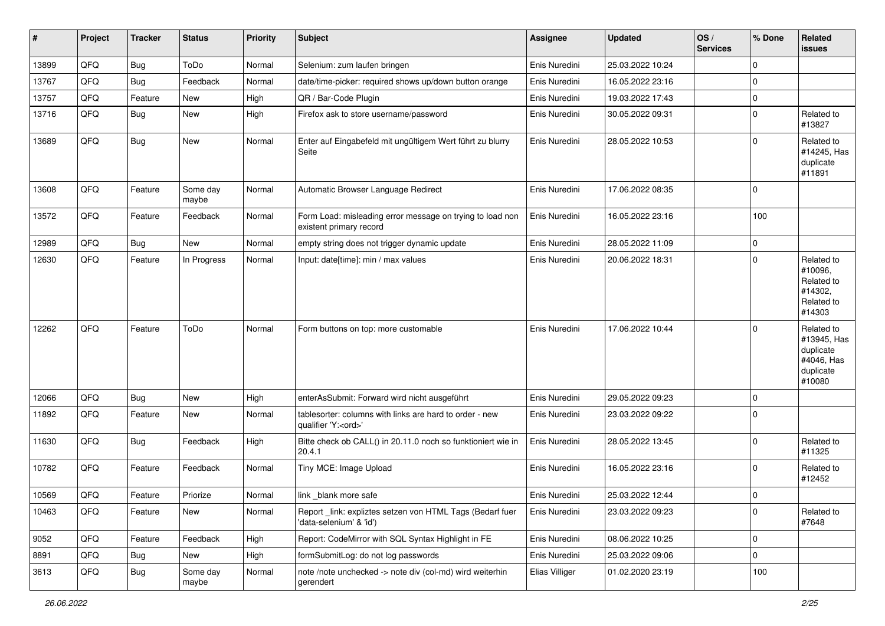| #     | Project | <b>Tracker</b> | <b>Status</b>     | <b>Priority</b> | <b>Subject</b>                                                                        | <b>Assignee</b> | <b>Updated</b>   | OS/<br><b>Services</b> | % Done      | Related<br>issues                                                           |
|-------|---------|----------------|-------------------|-----------------|---------------------------------------------------------------------------------------|-----------------|------------------|------------------------|-------------|-----------------------------------------------------------------------------|
| 13899 | QFQ     | <b>Bug</b>     | ToDo              | Normal          | Selenium: zum laufen bringen                                                          | Enis Nuredini   | 25.03.2022 10:24 |                        | $\mathbf 0$ |                                                                             |
| 13767 | QFQ     | Bug            | Feedback          | Normal          | date/time-picker: required shows up/down button orange                                | Enis Nuredini   | 16.05.2022 23:16 |                        | $\pmb{0}$   |                                                                             |
| 13757 | QFQ     | Feature        | New               | High            | QR / Bar-Code Plugin                                                                  | Enis Nuredini   | 19.03.2022 17:43 |                        | $\mathbf 0$ |                                                                             |
| 13716 | QFQ     | Bug            | New               | High            | Firefox ask to store username/password                                                | Enis Nuredini   | 30.05.2022 09:31 |                        | $\mathbf 0$ | Related to<br>#13827                                                        |
| 13689 | QFQ     | <b>Bug</b>     | New               | Normal          | Enter auf Eingabefeld mit ungültigem Wert führt zu blurry<br>Seite                    | Enis Nuredini   | 28.05.2022 10:53 |                        | $\mathbf 0$ | Related to<br>#14245, Has<br>duplicate<br>#11891                            |
| 13608 | QFQ     | Feature        | Some day<br>maybe | Normal          | Automatic Browser Language Redirect                                                   | Enis Nuredini   | 17.06.2022 08:35 |                        | $\mathbf 0$ |                                                                             |
| 13572 | QFQ     | Feature        | Feedback          | Normal          | Form Load: misleading error message on trying to load non<br>existent primary record  | Enis Nuredini   | 16.05.2022 23:16 |                        | 100         |                                                                             |
| 12989 | QFQ     | Bug            | New               | Normal          | empty string does not trigger dynamic update                                          | Enis Nuredini   | 28.05.2022 11:09 |                        | $\pmb{0}$   |                                                                             |
| 12630 | QFQ     | Feature        | In Progress       | Normal          | Input: date[time]: min / max values                                                   | Enis Nuredini   | 20.06.2022 18:31 |                        | $\mathbf 0$ | Related to<br>#10096,<br>Related to<br>#14302,<br>Related to<br>#14303      |
| 12262 | QFQ     | Feature        | ToDo              | Normal          | Form buttons on top: more customable                                                  | Enis Nuredini   | 17.06.2022 10:44 |                        | $\mathbf 0$ | Related to<br>#13945, Has<br>duplicate<br>#4046, Has<br>duplicate<br>#10080 |
| 12066 | QFQ     | Bug            | New               | High            | enterAsSubmit: Forward wird nicht ausgeführt                                          | Enis Nuredini   | 29.05.2022 09:23 |                        | $\mathbf 0$ |                                                                             |
| 11892 | QFQ     | Feature        | New               | Normal          | tablesorter: columns with links are hard to order - new<br>qualifier 'Y: <ord>'</ord> | Enis Nuredini   | 23.03.2022 09:22 |                        | $\pmb{0}$   |                                                                             |
| 11630 | QFQ     | <b>Bug</b>     | Feedback          | High            | Bitte check ob CALL() in 20.11.0 noch so funktioniert wie in<br>20.4.1                | Enis Nuredini   | 28.05.2022 13:45 |                        | $\pmb{0}$   | Related to<br>#11325                                                        |
| 10782 | QFQ     | Feature        | Feedback          | Normal          | Tiny MCE: Image Upload                                                                | Enis Nuredini   | 16.05.2022 23:16 |                        | $\mathbf 0$ | Related to<br>#12452                                                        |
| 10569 | QFQ     | Feature        | Priorize          | Normal          | link blank more safe                                                                  | Enis Nuredini   | 25.03.2022 12:44 |                        | 0           |                                                                             |
| 10463 | QFQ     | Feature        | New               | Normal          | Report link: expliztes setzen von HTML Tags (Bedarf fuer<br>'data-selenium' & 'id')   | Enis Nuredini   | 23.03.2022 09:23 |                        | $\mathbf 0$ | Related to<br>#7648                                                         |
| 9052  | QFQ     | Feature        | Feedback          | High            | Report: CodeMirror with SQL Syntax Highlight in FE                                    | Enis Nuredini   | 08.06.2022 10:25 |                        | $\pmb{0}$   |                                                                             |
| 8891  | QFQ     | <b>Bug</b>     | New               | High            | formSubmitLog: do not log passwords                                                   | Enis Nuredini   | 25.03.2022 09:06 |                        | $\mathbf 0$ |                                                                             |
| 3613  | QFQ     | <b>Bug</b>     | Some day<br>maybe | Normal          | note /note unchecked -> note div (col-md) wird weiterhin<br>gerendert                 | Elias Villiger  | 01.02.2020 23:19 |                        | 100         |                                                                             |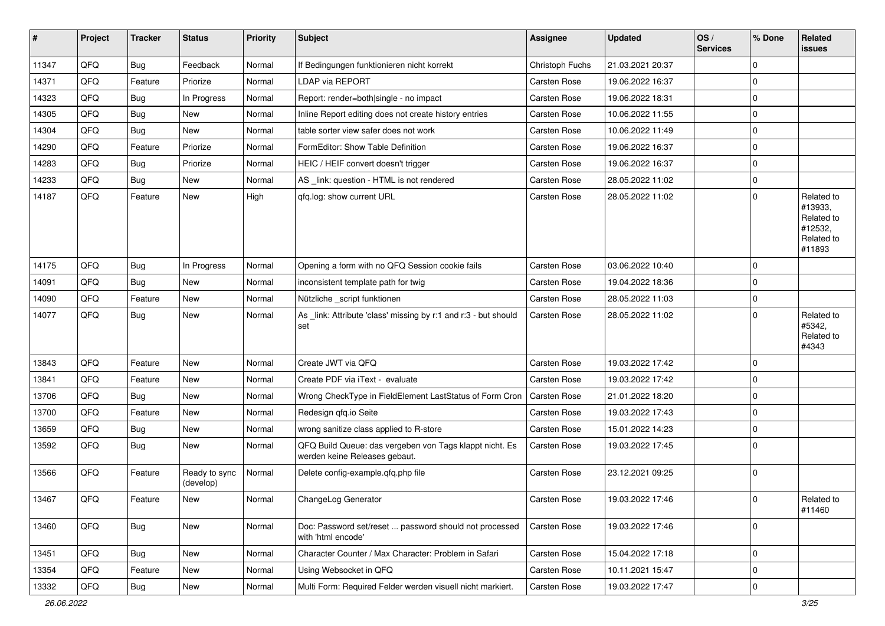| #     | Project | <b>Tracker</b> | <b>Status</b>              | <b>Priority</b> | <b>Subject</b>                                                                           | <b>Assignee</b> | <b>Updated</b>   | OS/<br><b>Services</b> | % Done      | Related<br><b>issues</b>                                               |
|-------|---------|----------------|----------------------------|-----------------|------------------------------------------------------------------------------------------|-----------------|------------------|------------------------|-------------|------------------------------------------------------------------------|
| 11347 | QFQ     | <b>Bug</b>     | Feedback                   | Normal          | If Bedingungen funktionieren nicht korrekt                                               | Christoph Fuchs | 21.03.2021 20:37 |                        | $\mathbf 0$ |                                                                        |
| 14371 | QFQ     | Feature        | Priorize                   | Normal          | LDAP via REPORT                                                                          | Carsten Rose    | 19.06.2022 16:37 |                        | $\mathbf 0$ |                                                                        |
| 14323 | QFQ     | <b>Bug</b>     | In Progress                | Normal          | Report: render=both single - no impact                                                   | Carsten Rose    | 19.06.2022 18:31 |                        | $\mathbf 0$ |                                                                        |
| 14305 | QFQ     | <b>Bug</b>     | <b>New</b>                 | Normal          | Inline Report editing does not create history entries                                    | Carsten Rose    | 10.06.2022 11:55 |                        | $\mathbf 0$ |                                                                        |
| 14304 | QFQ     | <b>Bug</b>     | New                        | Normal          | table sorter view safer does not work                                                    | Carsten Rose    | 10.06.2022 11:49 |                        | $\mathbf 0$ |                                                                        |
| 14290 | QFQ     | Feature        | Priorize                   | Normal          | FormEditor: Show Table Definition                                                        | Carsten Rose    | 19.06.2022 16:37 |                        | $\mathbf 0$ |                                                                        |
| 14283 | QFQ     | <b>Bug</b>     | Priorize                   | Normal          | HEIC / HEIF convert doesn't trigger                                                      | Carsten Rose    | 19.06.2022 16:37 |                        | $\mathbf 0$ |                                                                        |
| 14233 | QFQ     | <b>Bug</b>     | New                        | Normal          | AS _link: question - HTML is not rendered                                                | Carsten Rose    | 28.05.2022 11:02 |                        | $\mathbf 0$ |                                                                        |
| 14187 | QFQ     | Feature        | New                        | High            | qfq.log: show current URL                                                                | Carsten Rose    | 28.05.2022 11:02 |                        | $\Omega$    | Related to<br>#13933,<br>Related to<br>#12532,<br>Related to<br>#11893 |
| 14175 | QFQ     | <b>Bug</b>     | In Progress                | Normal          | Opening a form with no QFQ Session cookie fails                                          | Carsten Rose    | 03.06.2022 10:40 |                        | $\mathbf 0$ |                                                                        |
| 14091 | QFQ     | Bug            | New                        | Normal          | inconsistent template path for twig                                                      | Carsten Rose    | 19.04.2022 18:36 |                        | $\mathbf 0$ |                                                                        |
| 14090 | QFQ     | Feature        | New                        | Normal          | Nützliche _script funktionen                                                             | Carsten Rose    | 28.05.2022 11:03 |                        | $\mathbf 0$ |                                                                        |
| 14077 | QFQ     | <b>Bug</b>     | New                        | Normal          | As _link: Attribute 'class' missing by r:1 and r:3 - but should<br>set                   | Carsten Rose    | 28.05.2022 11:02 |                        | $\mathbf 0$ | Related to<br>#5342,<br>Related to<br>#4343                            |
| 13843 | QFQ     | Feature        | <b>New</b>                 | Normal          | Create JWT via QFQ                                                                       | Carsten Rose    | 19.03.2022 17:42 |                        | $\mathbf 0$ |                                                                        |
| 13841 | QFQ     | Feature        | New                        | Normal          | Create PDF via iText - evaluate                                                          | Carsten Rose    | 19.03.2022 17:42 |                        | $\mathbf 0$ |                                                                        |
| 13706 | QFQ     | <b>Bug</b>     | New                        | Normal          | Wrong CheckType in FieldElement LastStatus of Form Cron                                  | Carsten Rose    | 21.01.2022 18:20 |                        | $\mathbf 0$ |                                                                        |
| 13700 | QFQ     | Feature        | New                        | Normal          | Redesign qfq.io Seite                                                                    | Carsten Rose    | 19.03.2022 17:43 |                        | $\mathbf 0$ |                                                                        |
| 13659 | QFQ     | <b>Bug</b>     | New                        | Normal          | wrong sanitize class applied to R-store                                                  | Carsten Rose    | 15.01.2022 14:23 |                        | $\mathbf 0$ |                                                                        |
| 13592 | QFQ     | <b>Bug</b>     | New                        | Normal          | QFQ Build Queue: das vergeben von Tags klappt nicht. Es<br>werden keine Releases gebaut. | Carsten Rose    | 19.03.2022 17:45 |                        | $\Omega$    |                                                                        |
| 13566 | QFQ     | Feature        | Ready to sync<br>(develop) | Normal          | Delete config-example.qfq.php file                                                       | Carsten Rose    | 23.12.2021 09:25 |                        | $\mathbf 0$ |                                                                        |
| 13467 | QFQ     | Feature        | New                        | Normal          | ChangeLog Generator                                                                      | Carsten Rose    | 19.03.2022 17:46 |                        | $\pmb{0}$   | Related to<br>#11460                                                   |
| 13460 | QFQ     | Bug            | New                        | Normal          | Doc: Password set/reset  password should not processed<br>with 'html encode'             | Carsten Rose    | 19.03.2022 17:46 |                        | $\mathbf 0$ |                                                                        |
| 13451 | QFQ     | Bug            | New                        | Normal          | Character Counter / Max Character: Problem in Safari                                     | Carsten Rose    | 15.04.2022 17:18 |                        | $\mathbf 0$ |                                                                        |
| 13354 | QFQ     | Feature        | New                        | Normal          | Using Websocket in QFQ                                                                   | Carsten Rose    | 10.11.2021 15:47 |                        | $\mathbf 0$ |                                                                        |
| 13332 | QFQ     | Bug            | New                        | Normal          | Multi Form: Required Felder werden visuell nicht markiert.                               | Carsten Rose    | 19.03.2022 17:47 |                        | $\mathbf 0$ |                                                                        |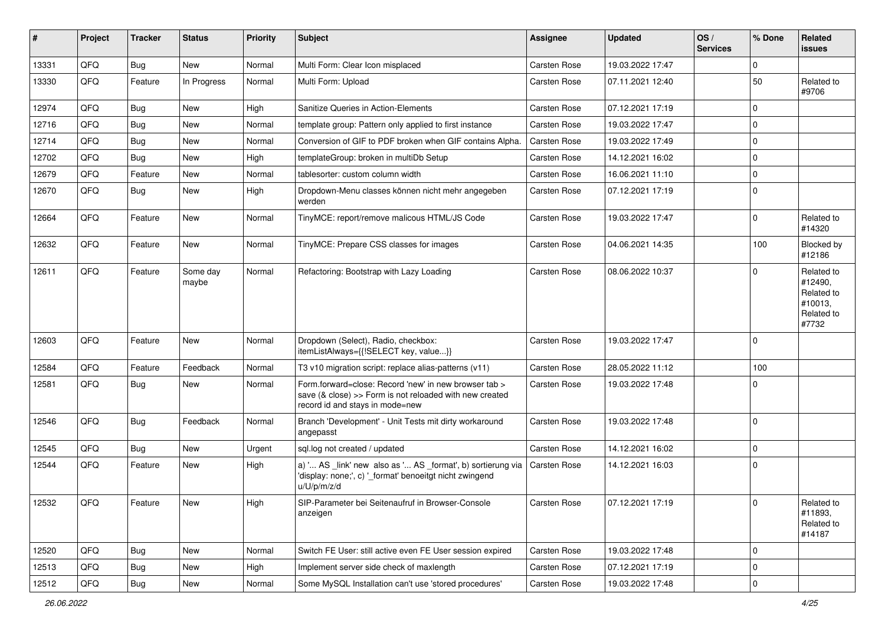| #     | Project | <b>Tracker</b> | <b>Status</b>     | <b>Priority</b> | <b>Subject</b>                                                                                                                                       | <b>Assignee</b>     | <b>Updated</b>   | OS/<br><b>Services</b> | % Done      | Related<br><b>issues</b>                                              |
|-------|---------|----------------|-------------------|-----------------|------------------------------------------------------------------------------------------------------------------------------------------------------|---------------------|------------------|------------------------|-------------|-----------------------------------------------------------------------|
| 13331 | QFQ     | <b>Bug</b>     | New               | Normal          | Multi Form: Clear Icon misplaced                                                                                                                     | <b>Carsten Rose</b> | 19.03.2022 17:47 |                        | $\mathbf 0$ |                                                                       |
| 13330 | QFQ     | Feature        | In Progress       | Normal          | Multi Form: Upload                                                                                                                                   | Carsten Rose        | 07.11.2021 12:40 |                        | 50          | Related to<br>#9706                                                   |
| 12974 | QFQ     | Bug            | <b>New</b>        | High            | Sanitize Queries in Action-Elements                                                                                                                  | Carsten Rose        | 07.12.2021 17:19 |                        | $\mathbf 0$ |                                                                       |
| 12716 | QFQ     | <b>Bug</b>     | New               | Normal          | template group: Pattern only applied to first instance                                                                                               | Carsten Rose        | 19.03.2022 17:47 |                        | $\mathbf 0$ |                                                                       |
| 12714 | QFQ     | <b>Bug</b>     | New               | Normal          | Conversion of GIF to PDF broken when GIF contains Alpha.                                                                                             | Carsten Rose        | 19.03.2022 17:49 |                        | $\mathbf 0$ |                                                                       |
| 12702 | QFQ     | Bug            | New               | High            | templateGroup: broken in multiDb Setup                                                                                                               | Carsten Rose        | 14.12.2021 16:02 |                        | $\mathbf 0$ |                                                                       |
| 12679 | QFQ     | Feature        | New               | Normal          | tablesorter: custom column width                                                                                                                     | Carsten Rose        | 16.06.2021 11:10 |                        | $\mathbf 0$ |                                                                       |
| 12670 | QFQ     | <b>Bug</b>     | New               | High            | Dropdown-Menu classes können nicht mehr angegeben<br>werden                                                                                          | Carsten Rose        | 07.12.2021 17:19 |                        | $\mathbf 0$ |                                                                       |
| 12664 | QFQ     | Feature        | New               | Normal          | TinyMCE: report/remove malicous HTML/JS Code                                                                                                         | Carsten Rose        | 19.03.2022 17:47 |                        | $\mathbf 0$ | Related to<br>#14320                                                  |
| 12632 | QFQ     | Feature        | New               | Normal          | TinyMCE: Prepare CSS classes for images                                                                                                              | Carsten Rose        | 04.06.2021 14:35 |                        | 100         | Blocked by<br>#12186                                                  |
| 12611 | QFQ     | Feature        | Some day<br>maybe | Normal          | Refactoring: Bootstrap with Lazy Loading                                                                                                             | Carsten Rose        | 08.06.2022 10:37 |                        | $\mathbf 0$ | Related to<br>#12490,<br>Related to<br>#10013,<br>Related to<br>#7732 |
| 12603 | QFQ     | Feature        | New               | Normal          | Dropdown (Select), Radio, checkbox:<br>itemListAlways={{!SELECT key, value}}                                                                         | Carsten Rose        | 19.03.2022 17:47 |                        | $\mathbf 0$ |                                                                       |
| 12584 | QFQ     | Feature        | Feedback          | Normal          | T3 v10 migration script: replace alias-patterns (v11)                                                                                                | Carsten Rose        | 28.05.2022 11:12 |                        | 100         |                                                                       |
| 12581 | QFQ     | <b>Bug</b>     | New               | Normal          | Form.forward=close: Record 'new' in new browser tab ><br>save (& close) >> Form is not reloaded with new created<br>record id and stays in mode=new  | Carsten Rose        | 19.03.2022 17:48 |                        | $\mathbf 0$ |                                                                       |
| 12546 | QFQ     | <b>Bug</b>     | Feedback          | Normal          | Branch 'Development' - Unit Tests mit dirty workaround<br>angepasst                                                                                  | Carsten Rose        | 19.03.2022 17:48 |                        | $\mathbf 0$ |                                                                       |
| 12545 | QFQ     | <b>Bug</b>     | <b>New</b>        | Urgent          | sql.log not created / updated                                                                                                                        | Carsten Rose        | 14.12.2021 16:02 |                        | $\mathbf 0$ |                                                                       |
| 12544 | QFQ     | Feature        | New               | High            | a) ' AS _link' new also as ' AS _format', b) sortierung via   Carsten Rose<br>'display: none;', c) '_format' benoeitgt nicht zwingend<br>u/U/p/m/z/d |                     | 14.12.2021 16:03 |                        | $\mathbf 0$ |                                                                       |
| 12532 | QFQ     | Feature        | New               | High            | SIP-Parameter bei Seitenaufruf in Browser-Console<br>anzeigen                                                                                        | Carsten Rose        | 07.12.2021 17:19 |                        | $\mathbf 0$ | Related to<br>#11893,<br>Related to<br>#14187                         |
| 12520 | QFQ     | <b>Bug</b>     | New               | Normal          | Switch FE User: still active even FE User session expired                                                                                            | Carsten Rose        | 19.03.2022 17:48 |                        | $\mathbf 0$ |                                                                       |
| 12513 | QFQ     | Bug            | New               | High            | Implement server side check of maxlength                                                                                                             | Carsten Rose        | 07.12.2021 17:19 |                        | $\mathbf 0$ |                                                                       |
| 12512 | QFQ     | Bug            | New               | Normal          | Some MySQL Installation can't use 'stored procedures'                                                                                                | Carsten Rose        | 19.03.2022 17:48 |                        | $\pmb{0}$   |                                                                       |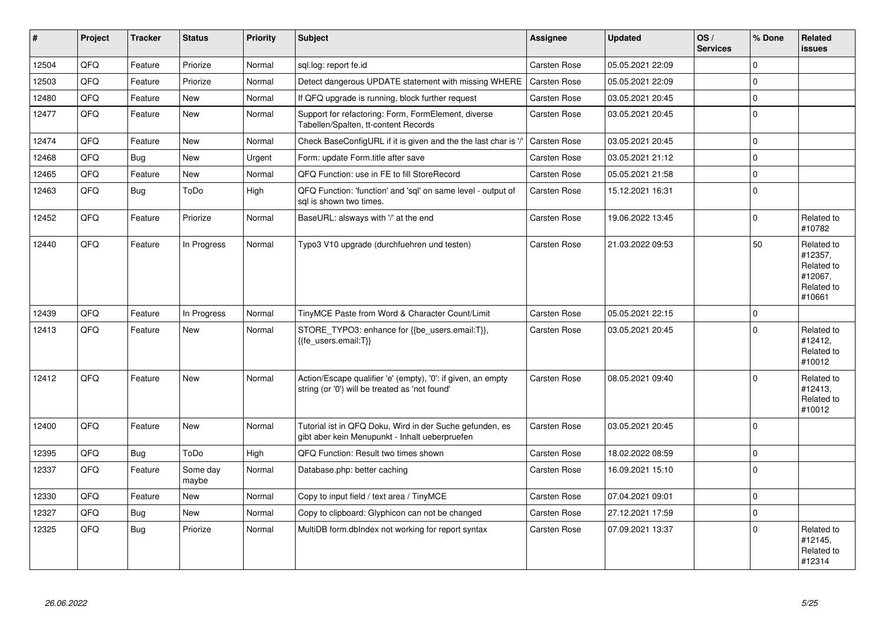| $\vert$ # | <b>Project</b> | <b>Tracker</b> | <b>Status</b>     | <b>Priority</b> | <b>Subject</b>                                                                                                 | Assignee            | <b>Updated</b>   | OS/<br><b>Services</b> | % Done      | Related<br><b>issues</b>                                               |
|-----------|----------------|----------------|-------------------|-----------------|----------------------------------------------------------------------------------------------------------------|---------------------|------------------|------------------------|-------------|------------------------------------------------------------------------|
| 12504     | QFQ            | Feature        | Priorize          | Normal          | sql.log: report fe.id                                                                                          | Carsten Rose        | 05.05.2021 22:09 |                        | $\Omega$    |                                                                        |
| 12503     | QFQ            | Feature        | Priorize          | Normal          | Detect dangerous UPDATE statement with missing WHERE                                                           | <b>Carsten Rose</b> | 05.05.2021 22:09 |                        | $\Omega$    |                                                                        |
| 12480     | QFQ            | Feature        | <b>New</b>        | Normal          | If QFQ upgrade is running, block further request                                                               | Carsten Rose        | 03.05.2021 20:45 |                        | $\Omega$    |                                                                        |
| 12477     | QFQ            | Feature        | <b>New</b>        | Normal          | Support for refactoring: Form, FormElement, diverse<br>Tabellen/Spalten, tt-content Records                    | Carsten Rose        | 03.05.2021 20:45 |                        | $\Omega$    |                                                                        |
| 12474     | QFQ            | Feature        | <b>New</b>        | Normal          | Check BaseConfigURL if it is given and the the last char is                                                    | Carsten Rose        | 03.05.2021 20:45 |                        | $\Omega$    |                                                                        |
| 12468     | QFQ            | Bug            | <b>New</b>        | Urgent          | Form: update Form.title after save                                                                             | Carsten Rose        | 03.05.2021 21:12 |                        | $\Omega$    |                                                                        |
| 12465     | QFQ            | Feature        | <b>New</b>        | Normal          | QFQ Function: use in FE to fill StoreRecord                                                                    | Carsten Rose        | 05.05.2021 21:58 |                        | $\Omega$    |                                                                        |
| 12463     | QFQ            | Bug            | ToDo              | High            | QFQ Function: 'function' and 'sql' on same level - output of<br>sal is shown two times.                        | Carsten Rose        | 15.12.2021 16:31 |                        | $\Omega$    |                                                                        |
| 12452     | QFQ            | Feature        | Priorize          | Normal          | BaseURL: alsways with '/' at the end                                                                           | Carsten Rose        | 19.06.2022 13:45 |                        | $\Omega$    | Related to<br>#10782                                                   |
| 12440     | QFQ            | Feature        | In Progress       | Normal          | Typo3 V10 upgrade (durchfuehren und testen)                                                                    | Carsten Rose        | 21.03.2022 09:53 |                        | 50          | Related to<br>#12357,<br>Related to<br>#12067,<br>Related to<br>#10661 |
| 12439     | QFQ            | Feature        | In Progress       | Normal          | TinyMCE Paste from Word & Character Count/Limit                                                                | <b>Carsten Rose</b> | 05.05.2021 22:15 |                        | $\mathbf 0$ |                                                                        |
| 12413     | QFQ            | Feature        | <b>New</b>        | Normal          | STORE_TYPO3: enhance for {{be_users.email:T}},<br>{{fe users.email:T}}                                         | Carsten Rose        | 03.05.2021 20:45 |                        | $\Omega$    | Related to<br>#12412,<br>Related to<br>#10012                          |
| 12412     | QFQ            | Feature        | <b>New</b>        | Normal          | Action/Escape qualifier 'e' (empty), '0': if given, an empty<br>string (or '0') will be treated as 'not found' | Carsten Rose        | 08.05.2021 09:40 |                        | $\Omega$    | Related to<br>#12413.<br>Related to<br>#10012                          |
| 12400     | QFQ            | Feature        | <b>New</b>        | Normal          | Tutorial ist in QFQ Doku, Wird in der Suche gefunden, es<br>gibt aber kein Menupunkt - Inhalt ueberpruefen     | Carsten Rose        | 03.05.2021 20:45 |                        | $\Omega$    |                                                                        |
| 12395     | QFQ            | Bug            | ToDo              | High            | QFQ Function: Result two times shown                                                                           | Carsten Rose        | 18.02.2022 08:59 |                        | $\Omega$    |                                                                        |
| 12337     | QFQ            | Feature        | Some day<br>maybe | Normal          | Database.php: better caching                                                                                   | Carsten Rose        | 16.09.2021 15:10 |                        | $\Omega$    |                                                                        |
| 12330     | QFQ            | Feature        | <b>New</b>        | Normal          | Copy to input field / text area / TinyMCE                                                                      | Carsten Rose        | 07.04.2021 09:01 |                        | $\Omega$    |                                                                        |
| 12327     | QFQ            | <b>Bug</b>     | <b>New</b>        | Normal          | Copy to clipboard: Glyphicon can not be changed                                                                | Carsten Rose        | 27.12.2021 17:59 |                        | $\Omega$    |                                                                        |
| 12325     | QFQ            | Bug            | Priorize          | Normal          | MultiDB form.dblndex not working for report syntax                                                             | Carsten Rose        | 07.09.2021 13:37 |                        | $\Omega$    | Related to<br>#12145,<br>Related to<br>#12314                          |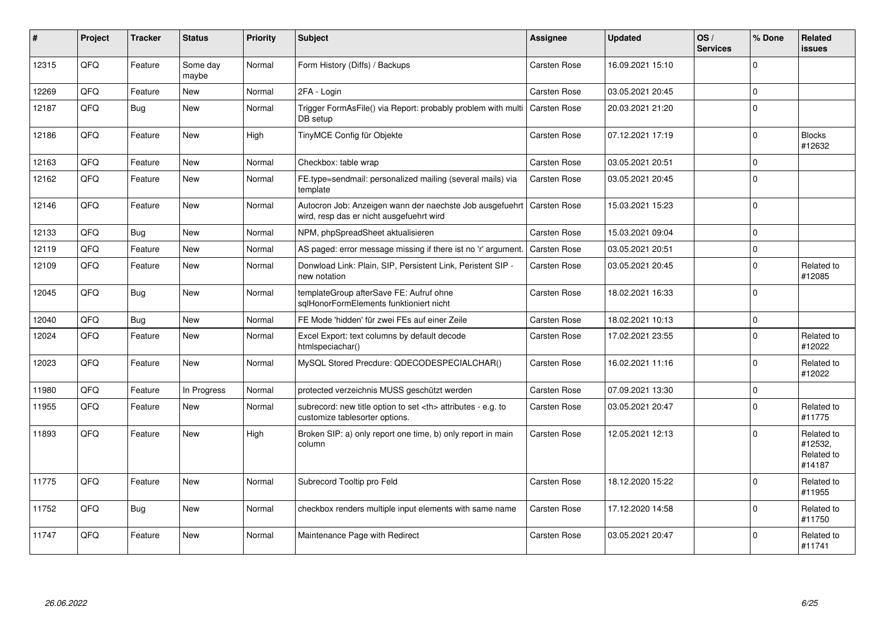| #     | Project | <b>Tracker</b> | <b>Status</b>     | <b>Priority</b> | <b>Subject</b>                                                                                       | <b>Assignee</b>                                        | <b>Updated</b>   | OS/<br><b>Services</b> | % Done      | Related<br><b>issues</b>                      |                      |
|-------|---------|----------------|-------------------|-----------------|------------------------------------------------------------------------------------------------------|--------------------------------------------------------|------------------|------------------------|-------------|-----------------------------------------------|----------------------|
| 12315 | QFQ     | Feature        | Some day<br>maybe | Normal          | Form History (Diffs) / Backups                                                                       | Carsten Rose                                           | 16.09.2021 15:10 |                        | $\Omega$    |                                               |                      |
| 12269 | QFQ     | Feature        | New               | Normal          | 2FA - Login                                                                                          | Carsten Rose                                           | 03.05.2021 20:45 |                        | $\mathbf 0$ |                                               |                      |
| 12187 | QFQ     | <b>Bug</b>     | <b>New</b>        | Normal          | Trigger FormAsFile() via Report: probably problem with multi<br>DB setup                             | <b>Carsten Rose</b>                                    | 20.03.2021 21:20 |                        | $\Omega$    |                                               |                      |
| 12186 | QFQ     | Feature        | <b>New</b>        | High            | TinyMCE Config für Objekte                                                                           | Carsten Rose                                           | 07.12.2021 17:19 |                        | $\Omega$    | <b>Blocks</b><br>#12632                       |                      |
| 12163 | QFQ     | Feature        | <b>New</b>        | Normal          | Checkbox: table wrap                                                                                 | Carsten Rose                                           | 03.05.2021 20:51 |                        | $\Omega$    |                                               |                      |
| 12162 | QFQ     | Feature        | New               | Normal          | FE.type=sendmail: personalized mailing (several mails) via<br>template                               | Carsten Rose                                           | 03.05.2021 20:45 |                        | $\Omega$    |                                               |                      |
| 12146 | QFQ     | Feature        | New               | Normal          | Autocron Job: Anzeigen wann der naechste Job ausgefuehrt<br>wird, resp das er nicht ausgefuehrt wird | <b>Carsten Rose</b>                                    | 15.03.2021 15:23 |                        | $\Omega$    |                                               |                      |
| 12133 | QFQ     | Bug            | <b>New</b>        | Normal          | NPM, phpSpreadSheet aktualisieren                                                                    | Carsten Rose                                           | 15.03.2021 09:04 |                        | $\Omega$    |                                               |                      |
| 12119 | QFQ     | Feature        | <b>New</b>        | Normal          | AS paged: error message missing if there ist no 'r' argument.                                        | <b>Carsten Rose</b>                                    | 03.05.2021 20:51 |                        | $\Omega$    |                                               |                      |
| 12109 | QFQ     | Feature        | New               | Normal          | Donwload Link: Plain, SIP, Persistent Link, Peristent SIP -<br>new notation                          | Carsten Rose                                           | 03.05.2021 20:45 |                        | $\Omega$    | Related to<br>#12085                          |                      |
| 12045 | QFQ     | Bug            | <b>New</b>        | Normal          | templateGroup afterSave FE: Aufruf ohne<br>sglHonorFormElements funktioniert nicht                   | Carsten Rose                                           | 18.02.2021 16:33 |                        | $\Omega$    |                                               |                      |
| 12040 | QFQ     | Bug            | <b>New</b>        | Normal          | FE Mode 'hidden' für zwei FEs auf einer Zeile                                                        | Carsten Rose                                           | 18.02.2021 10:13 |                        | $\mathbf 0$ |                                               |                      |
| 12024 | QFQ     | Feature        | New               | Normal          | Excel Export: text columns by default decode<br>htmlspeciachar()                                     | Carsten Rose                                           | 17.02.2021 23:55 |                        | $\Omega$    | Related to<br>#12022                          |                      |
| 12023 | QFQ     | Feature        | <b>New</b>        | Normal          | MySQL Stored Precdure: QDECODESPECIALCHAR()                                                          | Carsten Rose                                           | 16.02.2021 11:16 |                        | $\Omega$    | Related to<br>#12022                          |                      |
| 11980 | QFQ     | Feature        | In Progress       | Normal          | protected verzeichnis MUSS geschützt werden                                                          | <b>Carsten Rose</b>                                    | 07.09.2021 13:30 |                        | $\Omega$    |                                               |                      |
| 11955 | QFQ     | Feature        | New               | Normal          | subrecord: new title option to set <th> attributes - e.g. to<br/>customize tablesorter options.</th> | attributes - e.g. to<br>customize tablesorter options. | Carsten Rose     | 03.05.2021 20:47       |             | $\Omega$                                      | Related to<br>#11775 |
| 11893 | QFQ     | Feature        | New               | High            | Broken SIP: a) only report one time, b) only report in main<br>column                                | <b>Carsten Rose</b>                                    | 12.05.2021 12:13 |                        | $\Omega$    | Related to<br>#12532,<br>Related to<br>#14187 |                      |
| 11775 | QFQ     | Feature        | <b>New</b>        | Normal          | Subrecord Tooltip pro Feld                                                                           | Carsten Rose                                           | 18.12.2020 15:22 |                        | $\Omega$    | Related to<br>#11955                          |                      |
| 11752 | QFQ     | Bug            | New               | Normal          | checkbox renders multiple input elements with same name                                              | Carsten Rose                                           | 17.12.2020 14:58 |                        | $\Omega$    | Related to<br>#11750                          |                      |
| 11747 | QFQ     | Feature        | <b>New</b>        | Normal          | Maintenance Page with Redirect                                                                       | Carsten Rose                                           | 03.05.2021 20:47 |                        | $\Omega$    | Related to<br>#11741                          |                      |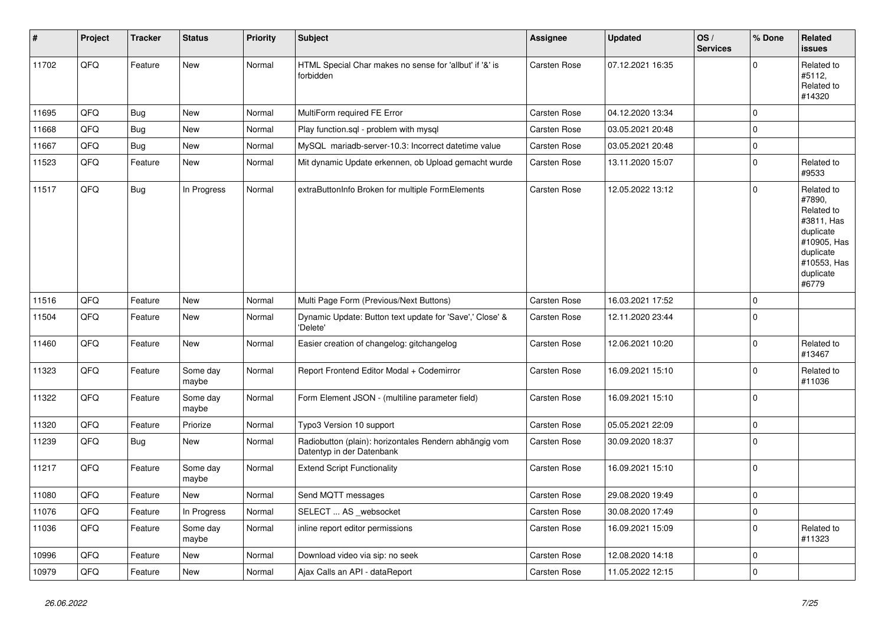| $\pmb{\#}$ | Project | <b>Tracker</b> | <b>Status</b>     | <b>Priority</b> | <b>Subject</b>                                                                      | <b>Assignee</b>     | <b>Updated</b>   | OS/<br><b>Services</b> | % Done      | Related<br><b>issues</b>                                                                                                       |
|------------|---------|----------------|-------------------|-----------------|-------------------------------------------------------------------------------------|---------------------|------------------|------------------------|-------------|--------------------------------------------------------------------------------------------------------------------------------|
| 11702      | QFQ     | Feature        | New               | Normal          | HTML Special Char makes no sense for 'allbut' if '&' is<br>forbidden                | Carsten Rose        | 07.12.2021 16:35 |                        | $\Omega$    | Related to<br>#5112,<br>Related to<br>#14320                                                                                   |
| 11695      | QFQ     | <b>Bug</b>     | <b>New</b>        | Normal          | MultiForm required FE Error                                                         | Carsten Rose        | 04.12.2020 13:34 |                        | $\mathbf 0$ |                                                                                                                                |
| 11668      | QFQ     | Bug            | New               | Normal          | Play function.sql - problem with mysql                                              | <b>Carsten Rose</b> | 03.05.2021 20:48 |                        | $\Omega$    |                                                                                                                                |
| 11667      | QFQ     | Bug            | New               | Normal          | MySQL mariadb-server-10.3: Incorrect datetime value                                 | Carsten Rose        | 03.05.2021 20:48 |                        | $\Omega$    |                                                                                                                                |
| 11523      | QFQ     | Feature        | New               | Normal          | Mit dynamic Update erkennen, ob Upload gemacht wurde                                | <b>Carsten Rose</b> | 13.11.2020 15:07 |                        | $\Omega$    | Related to<br>#9533                                                                                                            |
| 11517      | QFQ     | Bug            | In Progress       | Normal          | extraButtonInfo Broken for multiple FormElements                                    | Carsten Rose        | 12.05.2022 13:12 |                        | $\Omega$    | Related to<br>#7890,<br>Related to<br>#3811, Has<br>duplicate<br>#10905, Has<br>duplicate<br>#10553, Has<br>duplicate<br>#6779 |
| 11516      | QFQ     | Feature        | <b>New</b>        | Normal          | Multi Page Form (Previous/Next Buttons)                                             | Carsten Rose        | 16.03.2021 17:52 |                        | $\Omega$    |                                                                                                                                |
| 11504      | QFQ     | Feature        | New               | Normal          | Dynamic Update: Button text update for 'Save',' Close' &<br>'Delete'                | Carsten Rose        | 12.11.2020 23:44 |                        | $\Omega$    |                                                                                                                                |
| 11460      | QFQ     | Feature        | New               | Normal          | Easier creation of changelog: gitchangelog                                          | Carsten Rose        | 12.06.2021 10:20 |                        | $\Omega$    | Related to<br>#13467                                                                                                           |
| 11323      | QFQ     | Feature        | Some day<br>maybe | Normal          | Report Frontend Editor Modal + Codemirror                                           | Carsten Rose        | 16.09.2021 15:10 |                        | $\mathbf 0$ | Related to<br>#11036                                                                                                           |
| 11322      | QFQ     | Feature        | Some day<br>maybe | Normal          | Form Element JSON - (multiline parameter field)                                     | Carsten Rose        | 16.09.2021 15:10 |                        | $\Omega$    |                                                                                                                                |
| 11320      | QFQ     | Feature        | Priorize          | Normal          | Typo3 Version 10 support                                                            | Carsten Rose        | 05.05.2021 22:09 |                        | $\Omega$    |                                                                                                                                |
| 11239      | QFQ     | Bug            | New               | Normal          | Radiobutton (plain): horizontales Rendern abhängig vom<br>Datentyp in der Datenbank | Carsten Rose        | 30.09.2020 18:37 |                        | $\mathbf 0$ |                                                                                                                                |
| 11217      | QFQ     | Feature        | Some day<br>maybe | Normal          | <b>Extend Script Functionality</b>                                                  | Carsten Rose        | 16.09.2021 15:10 |                        | $\Omega$    |                                                                                                                                |
| 11080      | QFQ     | Feature        | <b>New</b>        | Normal          | Send MQTT messages                                                                  | Carsten Rose        | 29.08.2020 19:49 |                        | $\mathbf 0$ |                                                                                                                                |
| 11076      | QFQ     | Feature        | In Progress       | Normal          | SELECT  AS _websocket                                                               | <b>Carsten Rose</b> | 30.08.2020 17:49 |                        | $\mathbf 0$ |                                                                                                                                |
| 11036      | QFQ     | Feature        | Some day<br>maybe | Normal          | inline report editor permissions                                                    | Carsten Rose        | 16.09.2021 15:09 |                        | $\Omega$    | Related to<br>#11323                                                                                                           |
| 10996      | QFQ     | Feature        | <b>New</b>        | Normal          | Download video via sip: no seek                                                     | Carsten Rose        | 12.08.2020 14:18 |                        | $\mathbf 0$ |                                                                                                                                |
| 10979      | QFQ     | Feature        | New               | Normal          | Ajax Calls an API - dataReport                                                      | <b>Carsten Rose</b> | 11.05.2022 12:15 |                        | $\Omega$    |                                                                                                                                |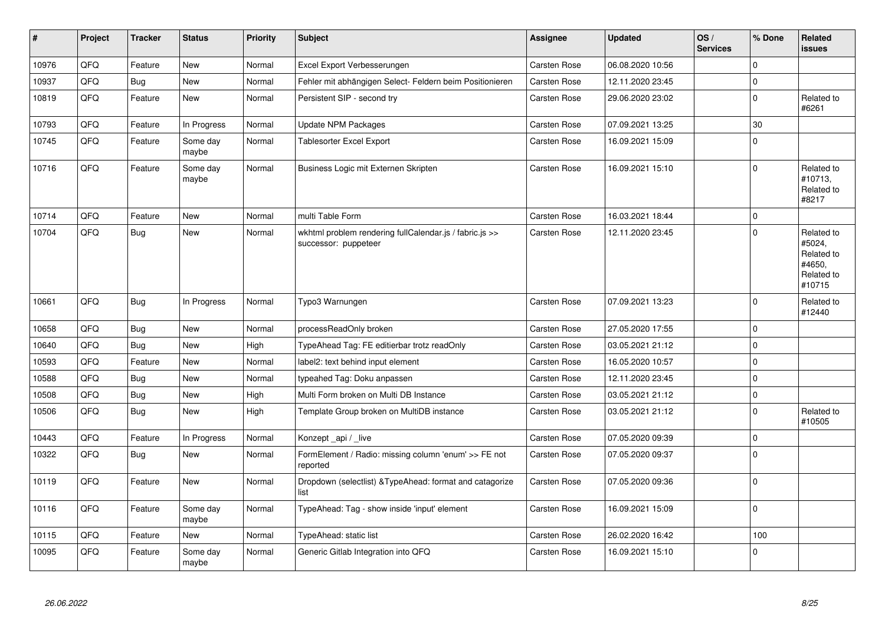| #     | Project | <b>Tracker</b> | <b>Status</b>     | <b>Priority</b> | Subject                                                                         | Assignee            | <b>Updated</b>   | OS/<br><b>Services</b> | % Done      | Related<br><b>issues</b>                                             |
|-------|---------|----------------|-------------------|-----------------|---------------------------------------------------------------------------------|---------------------|------------------|------------------------|-------------|----------------------------------------------------------------------|
| 10976 | QFQ     | Feature        | <b>New</b>        | Normal          | Excel Export Verbesserungen                                                     | Carsten Rose        | 06.08.2020 10:56 |                        | $\Omega$    |                                                                      |
| 10937 | QFQ     | Bug            | <b>New</b>        | Normal          | Fehler mit abhängigen Select- Feldern beim Positionieren                        | Carsten Rose        | 12.11.2020 23:45 |                        | $\Omega$    |                                                                      |
| 10819 | QFQ     | Feature        | <b>New</b>        | Normal          | Persistent SIP - second try                                                     | Carsten Rose        | 29.06.2020 23:02 |                        | 0           | Related to<br>#6261                                                  |
| 10793 | QFQ     | Feature        | In Progress       | Normal          | Update NPM Packages                                                             | Carsten Rose        | 07.09.2021 13:25 |                        | 30          |                                                                      |
| 10745 | QFQ     | Feature        | Some day<br>maybe | Normal          | <b>Tablesorter Excel Export</b>                                                 | Carsten Rose        | 16.09.2021 15:09 |                        | $\Omega$    |                                                                      |
| 10716 | QFQ     | Feature        | Some day<br>maybe | Normal          | Business Logic mit Externen Skripten                                            | Carsten Rose        | 16.09.2021 15:10 |                        | $\Omega$    | Related to<br>#10713,<br>Related to<br>#8217                         |
| 10714 | QFQ     | Feature        | <b>New</b>        | Normal          | multi Table Form                                                                | <b>Carsten Rose</b> | 16.03.2021 18:44 |                        | $\Omega$    |                                                                      |
| 10704 | QFQ     | <b>Bug</b>     | <b>New</b>        | Normal          | wkhtml problem rendering fullCalendar.js / fabric.js >><br>successor: puppeteer | Carsten Rose        | 12.11.2020 23:45 |                        | $\Omega$    | Related to<br>#5024,<br>Related to<br>#4650,<br>Related to<br>#10715 |
| 10661 | QFQ     | Bug            | In Progress       | Normal          | Typo3 Warnungen                                                                 | <b>Carsten Rose</b> | 07.09.2021 13:23 |                        | $\Omega$    | Related to<br>#12440                                                 |
| 10658 | QFQ     | Bug            | <b>New</b>        | Normal          | processReadOnly broken                                                          | Carsten Rose        | 27.05.2020 17:55 |                        | $\Omega$    |                                                                      |
| 10640 | QFQ     | Bug            | <b>New</b>        | High            | TypeAhead Tag: FE editierbar trotz readOnly                                     | <b>Carsten Rose</b> | 03.05.2021 21:12 |                        | $\Omega$    |                                                                      |
| 10593 | QFQ     | Feature        | <b>New</b>        | Normal          | label2: text behind input element                                               | <b>Carsten Rose</b> | 16.05.2020 10:57 |                        | $\Omega$    |                                                                      |
| 10588 | QFQ     | <b>Bug</b>     | New               | Normal          | typeahed Tag: Doku anpassen                                                     | Carsten Rose        | 12.11.2020 23:45 |                        | $\Omega$    |                                                                      |
| 10508 | QFQ     | <b>Bug</b>     | <b>New</b>        | High            | Multi Form broken on Multi DB Instance                                          | Carsten Rose        | 03.05.2021 21:12 |                        | $\mathbf 0$ |                                                                      |
| 10506 | QFQ     | <b>Bug</b>     | <b>New</b>        | High            | Template Group broken on MultiDB instance                                       | Carsten Rose        | 03.05.2021 21:12 |                        | $\Omega$    | Related to<br>#10505                                                 |
| 10443 | QFQ     | Feature        | In Progress       | Normal          | Konzept_api / _live                                                             | Carsten Rose        | 07.05.2020 09:39 |                        | $\Omega$    |                                                                      |
| 10322 | QFQ     | <b>Bug</b>     | <b>New</b>        | Normal          | FormElement / Radio: missing column 'enum' >> FE not<br>reported                | Carsten Rose        | 07.05.2020 09:37 |                        | $\Omega$    |                                                                      |
| 10119 | QFQ     | Feature        | <b>New</b>        | Normal          | Dropdown (selectlist) & TypeAhead: format and catagorize<br>list                | Carsten Rose        | 07.05.2020 09:36 |                        | $\Omega$    |                                                                      |
| 10116 | QFQ     | Feature        | Some day<br>maybe | Normal          | TypeAhead: Tag - show inside 'input' element                                    | Carsten Rose        | 16.09.2021 15:09 |                        | $\Omega$    |                                                                      |
| 10115 | QFQ     | Feature        | <b>New</b>        | Normal          | TypeAhead: static list                                                          | <b>Carsten Rose</b> | 26.02.2020 16:42 |                        | 100         |                                                                      |
| 10095 | QFQ     | Feature        | Some day<br>maybe | Normal          | Generic Gitlab Integration into QFQ                                             | Carsten Rose        | 16.09.2021 15:10 |                        | $\Omega$    |                                                                      |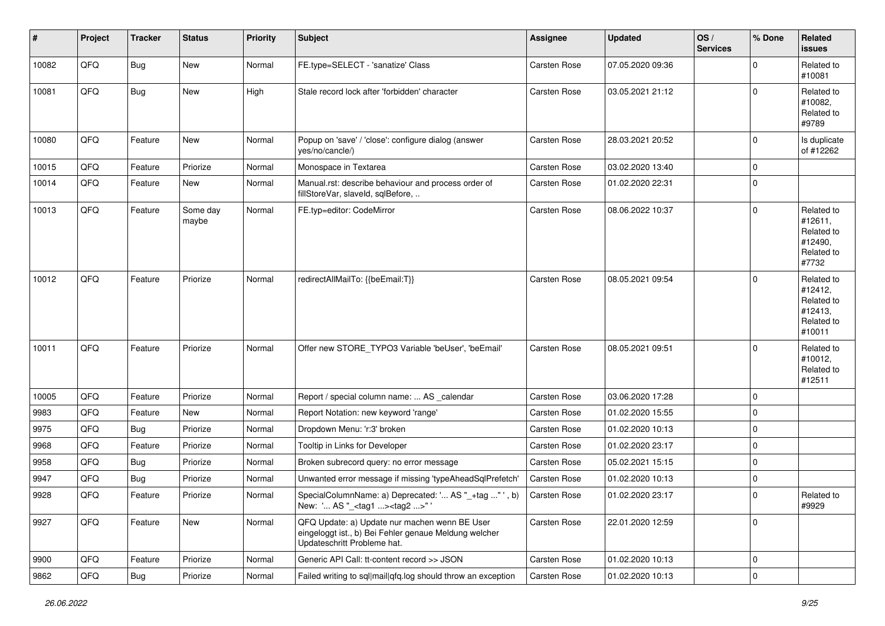| $\vert$ # | Project        | <b>Tracker</b> | <b>Status</b>     | <b>Priority</b> | <b>Subject</b>                                                                                                                        | <b>Assignee</b>     | <b>Updated</b>   | OS/<br><b>Services</b> | % Done         | <b>Related</b><br>issues                                               |
|-----------|----------------|----------------|-------------------|-----------------|---------------------------------------------------------------------------------------------------------------------------------------|---------------------|------------------|------------------------|----------------|------------------------------------------------------------------------|
| 10082     | QFQ            | Bug            | New               | Normal          | FE.type=SELECT - 'sanatize' Class                                                                                                     | <b>Carsten Rose</b> | 07.05.2020 09:36 |                        | $\Omega$       | Related to<br>#10081                                                   |
| 10081     | QFQ            | Bug            | New               | High            | Stale record lock after 'forbidden' character                                                                                         | Carsten Rose        | 03.05.2021 21:12 |                        | $\Omega$       | Related to<br>#10082,<br>Related to<br>#9789                           |
| 10080     | QFQ            | Feature        | New               | Normal          | Popup on 'save' / 'close': configure dialog (answer<br>yes/no/cancle/)                                                                | Carsten Rose        | 28.03.2021 20:52 |                        | $\mathbf 0$    | Is duplicate<br>of #12262                                              |
| 10015     | QFQ            | Feature        | Priorize          | Normal          | Monospace in Textarea                                                                                                                 | <b>Carsten Rose</b> | 03.02.2020 13:40 |                        | $\mathbf 0$    |                                                                        |
| 10014     | QFQ            | Feature        | New               | Normal          | Manual.rst: describe behaviour and process order of<br>fillStoreVar, slaveId, sqlBefore,                                              | Carsten Rose        | 01.02.2020 22:31 |                        | 0              |                                                                        |
| 10013     | QFQ            | Feature        | Some day<br>maybe | Normal          | FE.typ=editor: CodeMirror                                                                                                             | Carsten Rose        | 08.06.2022 10:37 |                        | $\mathbf 0$    | Related to<br>#12611,<br>Related to<br>#12490,<br>Related to<br>#7732  |
| 10012     | QFQ            | Feature        | Priorize          | Normal          | redirectAllMailTo: {{beEmail:T}}                                                                                                      | <b>Carsten Rose</b> | 08.05.2021 09:54 |                        | $\Omega$       | Related to<br>#12412,<br>Related to<br>#12413,<br>Related to<br>#10011 |
| 10011     | QFQ            | Feature        | Priorize          | Normal          | Offer new STORE_TYPO3 Variable 'beUser', 'beEmail'                                                                                    | Carsten Rose        | 08.05.2021 09:51 |                        | $\Omega$       | Related to<br>#10012,<br>Related to<br>#12511                          |
| 10005     | QFQ            | Feature        | Priorize          | Normal          | Report / special column name:  AS _calendar                                                                                           | Carsten Rose        | 03.06.2020 17:28 |                        | $\mathbf 0$    |                                                                        |
| 9983      | QFQ            | Feature        | New               | Normal          | Report Notation: new keyword 'range'                                                                                                  | Carsten Rose        | 01.02.2020 15:55 |                        | $\mathbf 0$    |                                                                        |
| 9975      | QFQ            | <b>Bug</b>     | Priorize          | Normal          | Dropdown Menu: 'r:3' broken                                                                                                           | Carsten Rose        | 01.02.2020 10:13 |                        | 0              |                                                                        |
| 9968      | QFQ            | Feature        | Priorize          | Normal          | Tooltip in Links for Developer                                                                                                        | Carsten Rose        | 01.02.2020 23:17 |                        | $\mathbf 0$    |                                                                        |
| 9958      | QFQ            | <b>Bug</b>     | Priorize          | Normal          | Broken subrecord query: no error message                                                                                              | Carsten Rose        | 05.02.2021 15:15 |                        | 0              |                                                                        |
| 9947      | QFQ            | <b>Bug</b>     | Priorize          | Normal          | Unwanted error message if missing 'typeAheadSqlPrefetch'                                                                              | <b>Carsten Rose</b> | 01.02.2020 10:13 |                        | 0              |                                                                        |
| 9928      | QFQ            | Feature        | Priorize          | Normal          | SpecialColumnName: a) Deprecated: ' AS "_+tag " ', b)<br>New: ' AS "_ <tag1><tag2>"'</tag2></tag1>                                    | Carsten Rose        | 01.02.2020 23:17 |                        | $\mathbf 0$    | Related to<br>#9929                                                    |
| 9927      | QFQ            | Feature        | New               | Normal          | QFQ Update: a) Update nur machen wenn BE User<br>eingeloggt ist., b) Bei Fehler genaue Meldung welcher<br>Updateschritt Probleme hat. | Carsten Rose        | 22.01.2020 12:59 |                        | $\mathbf 0$    |                                                                        |
| 9900      | QFQ            | Feature        | Priorize          | Normal          | Generic API Call: tt-content record >> JSON                                                                                           | Carsten Rose        | 01.02.2020 10:13 |                        | $\mathbf 0$    |                                                                        |
| 9862      | $\mathsf{QFQ}$ | Bug            | Priorize          | Normal          | Failed writing to sql mail qfq.log should throw an exception                                                                          | <b>Carsten Rose</b> | 01.02.2020 10:13 |                        | $\overline{0}$ |                                                                        |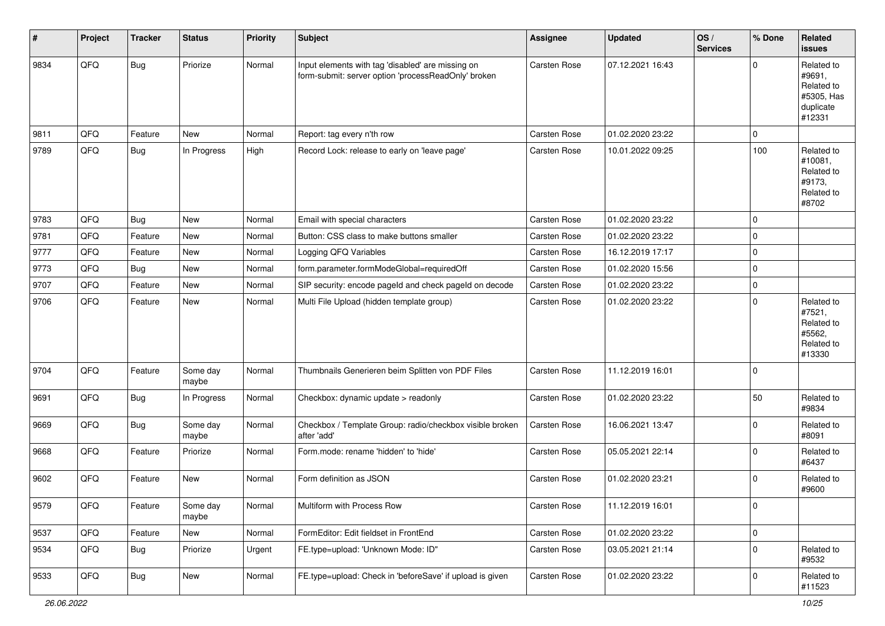| #    | Project | <b>Tracker</b> | <b>Status</b>     | <b>Priority</b> | <b>Subject</b>                                                                                           | <b>Assignee</b>     | <b>Updated</b>   | OS/<br><b>Services</b> | % Done         | Related<br><b>issues</b>                                                |
|------|---------|----------------|-------------------|-----------------|----------------------------------------------------------------------------------------------------------|---------------------|------------------|------------------------|----------------|-------------------------------------------------------------------------|
| 9834 | QFQ     | Bug            | Priorize          | Normal          | Input elements with tag 'disabled' are missing on<br>form-submit: server option 'processReadOnly' broken | Carsten Rose        | 07.12.2021 16:43 |                        | $\mathbf 0$    | Related to<br>#9691,<br>Related to<br>#5305, Has<br>duplicate<br>#12331 |
| 9811 | QFQ     | Feature        | New               | Normal          | Report: tag every n'th row                                                                               | Carsten Rose        | 01.02.2020 23:22 |                        | $\mathbf 0$    |                                                                         |
| 9789 | QFQ     | Bug            | In Progress       | High            | Record Lock: release to early on 'leave page'                                                            | Carsten Rose        | 10.01.2022 09:25 |                        | 100            | Related to<br>#10081,<br>Related to<br>#9173,<br>Related to<br>#8702    |
| 9783 | QFQ     | <b>Bug</b>     | New               | Normal          | Email with special characters                                                                            | Carsten Rose        | 01.02.2020 23:22 |                        | 0              |                                                                         |
| 9781 | QFQ     | Feature        | New               | Normal          | Button: CSS class to make buttons smaller                                                                | Carsten Rose        | 01.02.2020 23:22 |                        | $\mathbf 0$    |                                                                         |
| 9777 | QFQ     | Feature        | New               | Normal          | Logging QFQ Variables                                                                                    | Carsten Rose        | 16.12.2019 17:17 |                        | 0              |                                                                         |
| 9773 | QFQ     | <b>Bug</b>     | New               | Normal          | form.parameter.formModeGlobal=requiredOff                                                                | <b>Carsten Rose</b> | 01.02.2020 15:56 |                        | $\overline{0}$ |                                                                         |
| 9707 | QFQ     | Feature        | New               | Normal          | SIP security: encode pageld and check pageld on decode                                                   | <b>Carsten Rose</b> | 01.02.2020 23:22 |                        | 0              |                                                                         |
| 9706 | QFQ     | Feature        | <b>New</b>        | Normal          | Multi File Upload (hidden template group)                                                                | Carsten Rose        | 01.02.2020 23:22 |                        | $\mathbf 0$    | Related to<br>#7521,<br>Related to<br>#5562,<br>Related to<br>#13330    |
| 9704 | QFQ     | Feature        | Some day<br>maybe | Normal          | Thumbnails Generieren beim Splitten von PDF Files                                                        | Carsten Rose        | 11.12.2019 16:01 |                        | $\mathbf{0}$   |                                                                         |
| 9691 | QFQ     | Bug            | In Progress       | Normal          | Checkbox: dynamic update > readonly                                                                      | <b>Carsten Rose</b> | 01.02.2020 23:22 |                        | 50             | Related to<br>#9834                                                     |
| 9669 | QFQ     | <b>Bug</b>     | Some day<br>maybe | Normal          | Checkbox / Template Group: radio/checkbox visible broken<br>after 'add'                                  | Carsten Rose        | 16.06.2021 13:47 |                        | $\mathbf 0$    | Related to<br>#8091                                                     |
| 9668 | QFQ     | Feature        | Priorize          | Normal          | Form.mode: rename 'hidden' to 'hide'                                                                     | Carsten Rose        | 05.05.2021 22:14 |                        | $\mathbf 0$    | Related to<br>#6437                                                     |
| 9602 | QFQ     | Feature        | New               | Normal          | Form definition as JSON                                                                                  | Carsten Rose        | 01.02.2020 23:21 |                        | $\mathbf 0$    | Related to<br>#9600                                                     |
| 9579 | QFG     | Feature        | Some day<br>maybe | Normal          | Multiform with Process Row                                                                               | <b>Carsten Rose</b> | 11.12.2019 16:01 |                        | $\mathbf 0$    |                                                                         |
| 9537 | QFQ     | Feature        | New               | Normal          | FormEditor: Edit fieldset in FrontEnd                                                                    | Carsten Rose        | 01.02.2020 23:22 |                        | $\mathsf{O}$   |                                                                         |
| 9534 | QFQ     | <b>Bug</b>     | Priorize          | Urgent          | FE.type=upload: 'Unknown Mode: ID"                                                                       | Carsten Rose        | 03.05.2021 21:14 |                        | $\mathsf{O}$   | Related to<br>#9532                                                     |
| 9533 | QFQ     | <b>Bug</b>     | New               | Normal          | FE.type=upload: Check in 'beforeSave' if upload is given                                                 | Carsten Rose        | 01.02.2020 23:22 |                        | 0              | Related to<br>#11523                                                    |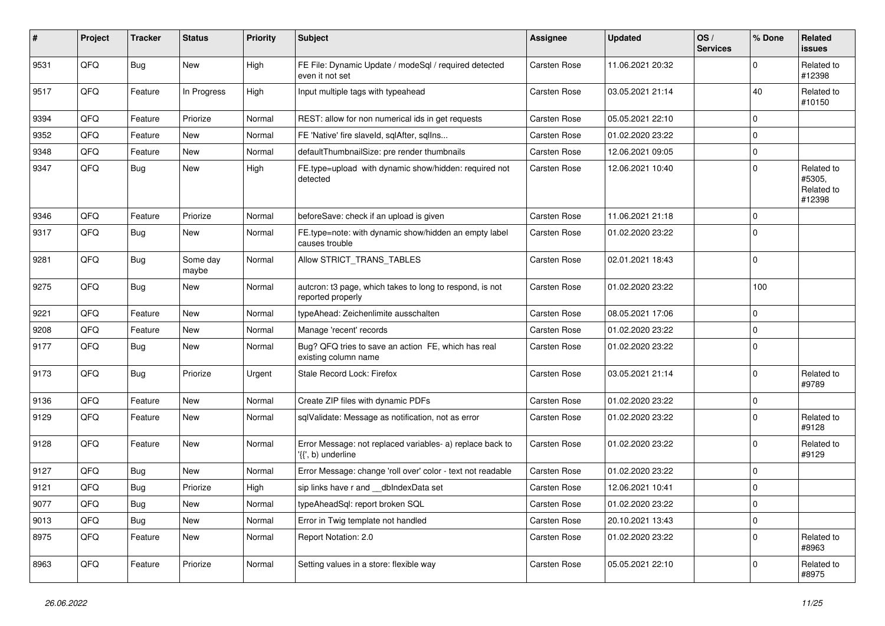| #    | Project | <b>Tracker</b> | <b>Status</b>     | <b>Priority</b> | <b>Subject</b>                                                                  | <b>Assignee</b>     | <b>Updated</b>   | OS/<br><b>Services</b> | % Done      | Related<br><b>issues</b>                     |
|------|---------|----------------|-------------------|-----------------|---------------------------------------------------------------------------------|---------------------|------------------|------------------------|-------------|----------------------------------------------|
| 9531 | QFQ     | Bug            | <b>New</b>        | High            | FE File: Dynamic Update / modeSql / required detected<br>even it not set        | Carsten Rose        | 11.06.2021 20:32 |                        | $\Omega$    | Related to<br>#12398                         |
| 9517 | QFQ     | Feature        | In Progress       | High            | Input multiple tags with typeahead                                              | <b>Carsten Rose</b> | 03.05.2021 21:14 |                        | 40          | Related to<br>#10150                         |
| 9394 | QFQ     | Feature        | Priorize          | Normal          | REST: allow for non numerical ids in get requests                               | Carsten Rose        | 05.05.2021 22:10 |                        | $\Omega$    |                                              |
| 9352 | QFQ     | Feature        | <b>New</b>        | Normal          | FE 'Native' fire slaveld, sqlAfter, sqllns                                      | Carsten Rose        | 01.02.2020 23:22 |                        | $\Omega$    |                                              |
| 9348 | QFQ     | Feature        | New               | Normal          | defaultThumbnailSize: pre render thumbnails                                     | <b>Carsten Rose</b> | 12.06.2021 09:05 |                        | $\Omega$    |                                              |
| 9347 | QFQ     | Bug            | New               | High            | FE.type=upload with dynamic show/hidden: required not<br>detected               | <b>Carsten Rose</b> | 12.06.2021 10:40 |                        | $\Omega$    | Related to<br>#5305,<br>Related to<br>#12398 |
| 9346 | QFQ     | Feature        | Priorize          | Normal          | beforeSave: check if an upload is given                                         | Carsten Rose        | 11.06.2021 21:18 |                        | $\mathbf 0$ |                                              |
| 9317 | QFQ     | <b>Bug</b>     | New               | Normal          | FE.type=note: with dynamic show/hidden an empty label<br>causes trouble         | <b>Carsten Rose</b> | 01.02.2020 23:22 |                        | $\Omega$    |                                              |
| 9281 | QFQ     | Bug            | Some day<br>maybe | Normal          | Allow STRICT_TRANS_TABLES                                                       | <b>Carsten Rose</b> | 02.01.2021 18:43 |                        | $\Omega$    |                                              |
| 9275 | QFQ     | Bug            | New               | Normal          | autcron: t3 page, which takes to long to respond, is not<br>reported properly   | Carsten Rose        | 01.02.2020 23:22 |                        | 100         |                                              |
| 9221 | QFQ     | Feature        | New               | Normal          | typeAhead: Zeichenlimite ausschalten                                            | <b>Carsten Rose</b> | 08.05.2021 17:06 |                        | $\Omega$    |                                              |
| 9208 | QFQ     | Feature        | New               | Normal          | Manage 'recent' records                                                         | Carsten Rose        | 01.02.2020 23:22 |                        | $\mathbf 0$ |                                              |
| 9177 | QFQ     | Bug            | New               | Normal          | Bug? QFQ tries to save an action FE, which has real<br>existing column name     | <b>Carsten Rose</b> | 01.02.2020 23:22 |                        | $\Omega$    |                                              |
| 9173 | QFQ     | Bug            | Priorize          | Urgent          | Stale Record Lock: Firefox                                                      | Carsten Rose        | 03.05.2021 21:14 |                        | $\Omega$    | Related to<br>#9789                          |
| 9136 | QFQ     | Feature        | New               | Normal          | Create ZIP files with dynamic PDFs                                              | Carsten Rose        | 01.02.2020 23:22 |                        | 0           |                                              |
| 9129 | QFQ     | Feature        | New               | Normal          | sqlValidate: Message as notification, not as error                              | Carsten Rose        | 01.02.2020 23:22 |                        | $\Omega$    | Related to<br>#9128                          |
| 9128 | QFQ     | Feature        | New               | Normal          | Error Message: not replaced variables- a) replace back to<br>'{{', b) underline | Carsten Rose        | 01.02.2020 23:22 |                        | $\Omega$    | Related to<br>#9129                          |
| 9127 | QFQ     | <b>Bug</b>     | <b>New</b>        | Normal          | Error Message: change 'roll over' color - text not readable                     | Carsten Rose        | 01.02.2020 23:22 |                        | $\Omega$    |                                              |
| 9121 | QFQ     | <b>Bug</b>     | Priorize          | High            | sip links have r and dblndexData set                                            | Carsten Rose        | 12.06.2021 10:41 |                        | $\Omega$    |                                              |
| 9077 | QFQ     | <b>Bug</b>     | <b>New</b>        | Normal          | typeAheadSgl: report broken SQL                                                 | Carsten Rose        | 01.02.2020 23:22 |                        | $\Omega$    |                                              |
| 9013 | QFQ     | <b>Bug</b>     | <b>New</b>        | Normal          | Error in Twig template not handled                                              | Carsten Rose        | 20.10.2021 13:43 |                        | $\Omega$    |                                              |
| 8975 | QFQ     | Feature        | New               | Normal          | Report Notation: 2.0                                                            | Carsten Rose        | 01.02.2020 23:22 |                        | $\Omega$    | Related to<br>#8963                          |
| 8963 | QFQ     | Feature        | Priorize          | Normal          | Setting values in a store: flexible way                                         | Carsten Rose        | 05.05.2021 22:10 |                        | $\Omega$    | Related to<br>#8975                          |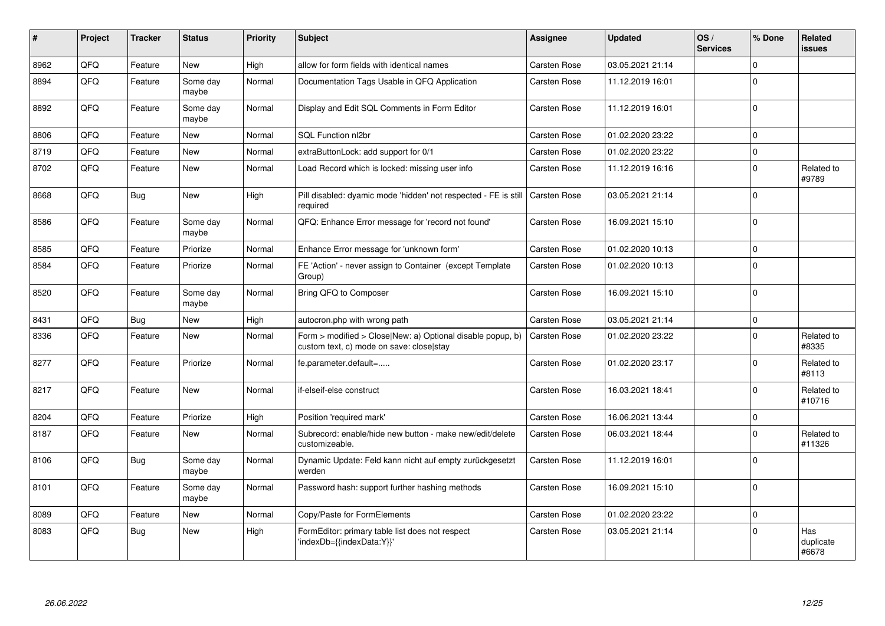| ∦    | Project | <b>Tracker</b> | <b>Status</b>     | <b>Priority</b> | <b>Subject</b>                                                                                         | <b>Assignee</b>     | <b>Updated</b>   | OS/<br><b>Services</b> | % Done      | Related<br><b>issues</b>  |
|------|---------|----------------|-------------------|-----------------|--------------------------------------------------------------------------------------------------------|---------------------|------------------|------------------------|-------------|---------------------------|
| 8962 | QFQ     | Feature        | <b>New</b>        | High            | allow for form fields with identical names                                                             | Carsten Rose        | 03.05.2021 21:14 |                        | $\mathbf 0$ |                           |
| 8894 | QFQ     | Feature        | Some day<br>maybe | Normal          | Documentation Tags Usable in QFQ Application                                                           | Carsten Rose        | 11.12.2019 16:01 |                        | $\Omega$    |                           |
| 8892 | QFQ     | Feature        | Some day<br>maybe | Normal          | Display and Edit SQL Comments in Form Editor                                                           | Carsten Rose        | 11.12.2019 16:01 |                        | $\Omega$    |                           |
| 8806 | QFQ     | Feature        | <b>New</b>        | Normal          | SQL Function nl2br                                                                                     | Carsten Rose        | 01.02.2020 23:22 |                        | $\Omega$    |                           |
| 8719 | QFQ     | Feature        | <b>New</b>        | Normal          | extraButtonLock: add support for 0/1                                                                   | Carsten Rose        | 01.02.2020 23:22 |                        | $\mathbf 0$ |                           |
| 8702 | QFQ     | Feature        | <b>New</b>        | Normal          | Load Record which is locked: missing user info                                                         | Carsten Rose        | 11.12.2019 16:16 |                        | $\Omega$    | Related to<br>#9789       |
| 8668 | QFQ     | Bug            | <b>New</b>        | High            | Pill disabled: dyamic mode 'hidden' not respected - FE is still<br>required                            | Carsten Rose        | 03.05.2021 21:14 |                        | $\Omega$    |                           |
| 8586 | QFQ     | Feature        | Some day<br>maybe | Normal          | QFQ: Enhance Error message for 'record not found'                                                      | Carsten Rose        | 16.09.2021 15:10 |                        | $\Omega$    |                           |
| 8585 | QFQ     | Feature        | Priorize          | Normal          | Enhance Error message for 'unknown form'                                                               | Carsten Rose        | 01.02.2020 10:13 |                        | $\Omega$    |                           |
| 8584 | QFQ     | Feature        | Priorize          | Normal          | FE 'Action' - never assign to Container (except Template<br>Group)                                     | Carsten Rose        | 01.02.2020 10:13 |                        | $\mathbf 0$ |                           |
| 8520 | QFQ     | Feature        | Some day<br>maybe | Normal          | Bring QFQ to Composer                                                                                  | Carsten Rose        | 16.09.2021 15:10 |                        | $\Omega$    |                           |
| 8431 | QFQ     | <b>Bug</b>     | New               | High            | autocron.php with wrong path                                                                           | Carsten Rose        | 03.05.2021 21:14 |                        | $\Omega$    |                           |
| 8336 | QFQ     | Feature        | <b>New</b>        | Normal          | Form > modified > Close New: a) Optional disable popup, b)<br>custom text, c) mode on save: closelstay | Carsten Rose        | 01.02.2020 23:22 |                        | $\Omega$    | Related to<br>#8335       |
| 8277 | QFQ     | Feature        | Priorize          | Normal          | fe.parameter.default=                                                                                  | Carsten Rose        | 01.02.2020 23:17 |                        | $\mathbf 0$ | Related to<br>#8113       |
| 8217 | QFQ     | Feature        | <b>New</b>        | Normal          | if-elseif-else construct                                                                               | Carsten Rose        | 16.03.2021 18:41 |                        | $\mathbf 0$ | Related to<br>#10716      |
| 8204 | QFQ     | Feature        | Priorize          | High            | Position 'required mark'                                                                               | Carsten Rose        | 16.06.2021 13:44 |                        | $\mathbf 0$ |                           |
| 8187 | QFQ     | Feature        | <b>New</b>        | Normal          | Subrecord: enable/hide new button - make new/edit/delete<br>customizeable.                             | <b>Carsten Rose</b> | 06.03.2021 18:44 |                        | $\Omega$    | Related to<br>#11326      |
| 8106 | QFQ     | <b>Bug</b>     | Some day<br>maybe | Normal          | Dynamic Update: Feld kann nicht auf empty zurückgesetzt<br>werden                                      | Carsten Rose        | 11.12.2019 16:01 |                        | $\mathbf 0$ |                           |
| 8101 | QFQ     | Feature        | Some day<br>maybe | Normal          | Password hash: support further hashing methods                                                         | Carsten Rose        | 16.09.2021 15:10 |                        | $\Omega$    |                           |
| 8089 | QFQ     | Feature        | New               | Normal          | Copy/Paste for FormElements                                                                            | Carsten Rose        | 01.02.2020 23:22 |                        | $\mathbf 0$ |                           |
| 8083 | QFQ     | <b>Bug</b>     | <b>New</b>        | High            | FormEditor: primary table list does not respect<br>'indexDb={{indexData:Y}}'                           | Carsten Rose        | 03.05.2021 21:14 |                        | $\Omega$    | Has<br>duplicate<br>#6678 |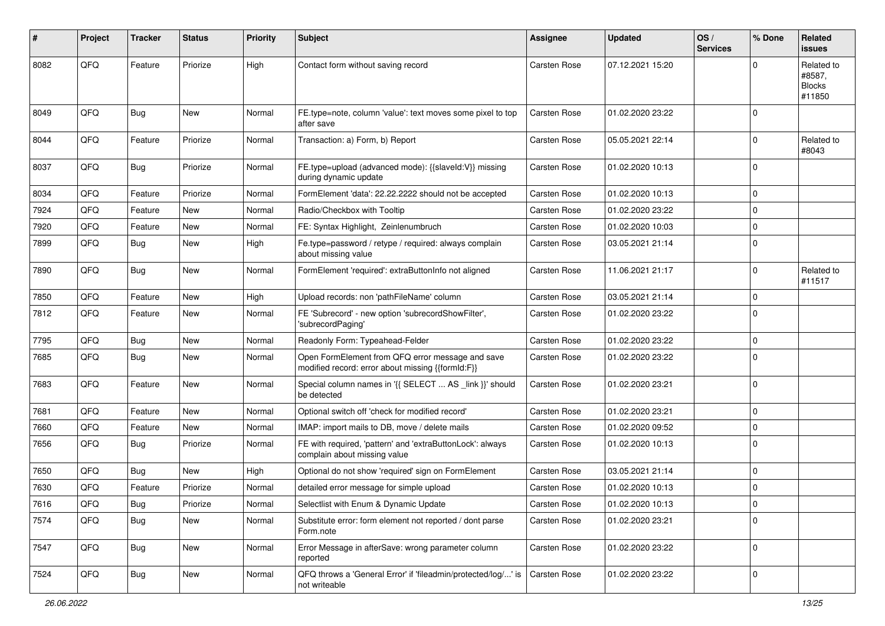| $\pmb{\#}$ | Project | <b>Tracker</b> | <b>Status</b> | <b>Priority</b> | <b>Subject</b>                                                                                        | <b>Assignee</b>     | <b>Updated</b>   | OS/<br><b>Services</b> | % Done      | <b>Related</b><br><b>issues</b>                 |
|------------|---------|----------------|---------------|-----------------|-------------------------------------------------------------------------------------------------------|---------------------|------------------|------------------------|-------------|-------------------------------------------------|
| 8082       | QFQ     | Feature        | Priorize      | High            | Contact form without saving record                                                                    | Carsten Rose        | 07.12.2021 15:20 |                        | $\Omega$    | Related to<br>#8587,<br><b>Blocks</b><br>#11850 |
| 8049       | QFQ     | Bug            | <b>New</b>    | Normal          | FE.type=note, column 'value': text moves some pixel to top<br>after save                              | Carsten Rose        | 01.02.2020 23:22 |                        | $\Omega$    |                                                 |
| 8044       | QFQ     | Feature        | Priorize      | Normal          | Transaction: a) Form, b) Report                                                                       | Carsten Rose        | 05.05.2021 22:14 |                        | $\Omega$    | Related to<br>#8043                             |
| 8037       | QFQ     | Bug            | Priorize      | Normal          | FE.type=upload (advanced mode): {{slaveld:V}} missing<br>during dynamic update                        | <b>Carsten Rose</b> | 01.02.2020 10:13 |                        | $\Omega$    |                                                 |
| 8034       | QFQ     | Feature        | Priorize      | Normal          | FormElement 'data': 22.22.2222 should not be accepted                                                 | Carsten Rose        | 01.02.2020 10:13 |                        | $\Omega$    |                                                 |
| 7924       | QFQ     | Feature        | <b>New</b>    | Normal          | Radio/Checkbox with Tooltip                                                                           | Carsten Rose        | 01.02.2020 23:22 |                        | $\Omega$    |                                                 |
| 7920       | QFQ     | Feature        | New           | Normal          | FE: Syntax Highlight, Zeinlenumbruch                                                                  | Carsten Rose        | 01.02.2020 10:03 |                        | $\Omega$    |                                                 |
| 7899       | QFQ     | Bug            | New           | High            | Fe.type=password / retype / required: always complain<br>about missing value                          | <b>Carsten Rose</b> | 03.05.2021 21:14 |                        | $\Omega$    |                                                 |
| 7890       | QFQ     | Bug            | <b>New</b>    | Normal          | FormElement 'required': extraButtonInfo not aligned                                                   | Carsten Rose        | 11.06.2021 21:17 |                        | $\Omega$    | Related to<br>#11517                            |
| 7850       | QFQ     | Feature        | New           | High            | Upload records: non 'pathFileName' column                                                             | <b>Carsten Rose</b> | 03.05.2021 21:14 |                        | $\Omega$    |                                                 |
| 7812       | QFQ     | Feature        | New           | Normal          | FE 'Subrecord' - new option 'subrecordShowFilter',<br>'subrecordPaging'                               | <b>Carsten Rose</b> | 01.02.2020 23:22 |                        | $\Omega$    |                                                 |
| 7795       | QFQ     | <b>Bug</b>     | New           | Normal          | Readonly Form: Typeahead-Felder                                                                       | Carsten Rose        | 01.02.2020 23:22 |                        | $\Omega$    |                                                 |
| 7685       | QFQ     | <b>Bug</b>     | New           | Normal          | Open FormElement from QFQ error message and save<br>modified record: error about missing {{formId:F}} | Carsten Rose        | 01.02.2020 23:22 |                        | $\Omega$    |                                                 |
| 7683       | QFQ     | Feature        | <b>New</b>    | Normal          | Special column names in '{{ SELECT  AS _link }}' should<br>be detected                                | <b>Carsten Rose</b> | 01.02.2020 23:21 |                        | $\Omega$    |                                                 |
| 7681       | QFQ     | Feature        | <b>New</b>    | Normal          | Optional switch off 'check for modified record'                                                       | Carsten Rose        | 01.02.2020 23:21 |                        | $\Omega$    |                                                 |
| 7660       | QFQ     | Feature        | New           | Normal          | IMAP: import mails to DB, move / delete mails                                                         | <b>Carsten Rose</b> | 01.02.2020 09:52 |                        | $\Omega$    |                                                 |
| 7656       | QFQ     | Bug            | Priorize      | Normal          | FE with required, 'pattern' and 'extraButtonLock': always<br>complain about missing value             | <b>Carsten Rose</b> | 01.02.2020 10:13 |                        | $\Omega$    |                                                 |
| 7650       | QFQ     | <b>Bug</b>     | <b>New</b>    | High            | Optional do not show 'required' sign on FormElement                                                   | Carsten Rose        | 03.05.2021 21:14 |                        | $\Omega$    |                                                 |
| 7630       | QFQ     | Feature        | Priorize      | Normal          | detailed error message for simple upload                                                              | Carsten Rose        | 01.02.2020 10:13 |                        | $\Omega$    |                                                 |
| 7616       | QFQ     | Bug            | Priorize      | Normal          | Selectlist with Enum & Dynamic Update                                                                 | <b>Carsten Rose</b> | 01.02.2020 10:13 |                        | 0           |                                                 |
| 7574       | QFQ     | <b>Bug</b>     | New           | Normal          | Substitute error: form element not reported / dont parse<br>Form.note                                 | Carsten Rose        | 01.02.2020 23:21 |                        | $\mathbf 0$ |                                                 |
| 7547       | QFQ     | <b>Bug</b>     | New           | Normal          | Error Message in afterSave: wrong parameter column<br>reported                                        | Carsten Rose        | 01.02.2020 23:22 |                        | 0           |                                                 |
| 7524       | QFQ     | <b>Bug</b>     | New           | Normal          | QFQ throws a 'General Error' if 'fileadmin/protected/log/' is<br>not writeable                        | Carsten Rose        | 01.02.2020 23:22 |                        | 0           |                                                 |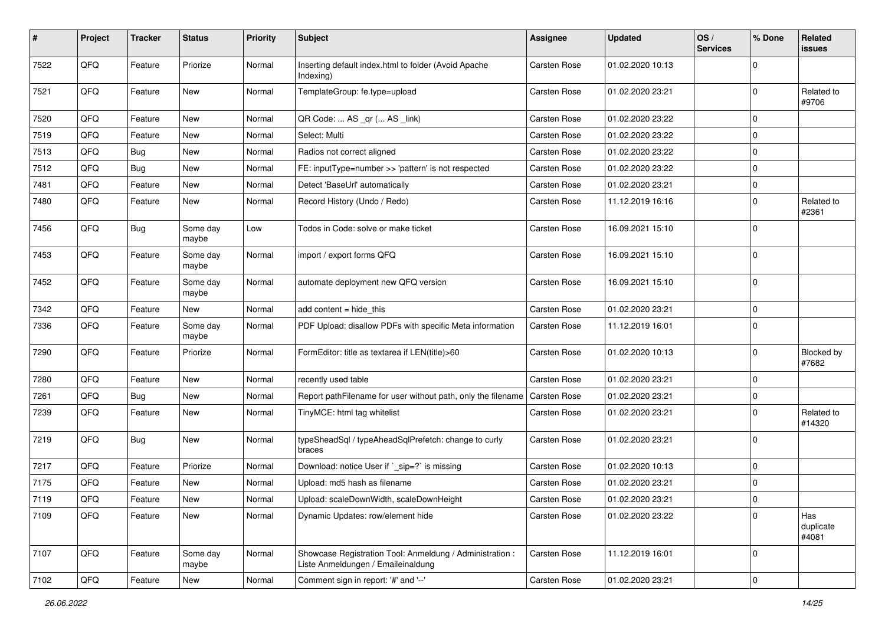| #    | Project        | <b>Tracker</b> | <b>Status</b>     | <b>Priority</b> | <b>Subject</b>                                                                                 | <b>Assignee</b>     | <b>Updated</b>   | OS/<br><b>Services</b> | % Done      | Related<br>issues         |
|------|----------------|----------------|-------------------|-----------------|------------------------------------------------------------------------------------------------|---------------------|------------------|------------------------|-------------|---------------------------|
| 7522 | QFQ            | Feature        | Priorize          | Normal          | Inserting default index.html to folder (Avoid Apache<br>Indexing)                              | Carsten Rose        | 01.02.2020 10:13 |                        | $\Omega$    |                           |
| 7521 | QFQ            | Feature        | New               | Normal          | TemplateGroup: fe.type=upload                                                                  | Carsten Rose        | 01.02.2020 23:21 |                        | $\mathbf 0$ | Related to<br>#9706       |
| 7520 | QFQ            | Feature        | New               | Normal          | QR Code:  AS _qr ( AS _link)                                                                   | Carsten Rose        | 01.02.2020 23:22 |                        | $\mathbf 0$ |                           |
| 7519 | QFQ            | Feature        | New               | Normal          | Select: Multi                                                                                  | Carsten Rose        | 01.02.2020 23:22 |                        | $\Omega$    |                           |
| 7513 | QFQ            | <b>Bug</b>     | New               | Normal          | Radios not correct aligned                                                                     | Carsten Rose        | 01.02.2020 23:22 |                        | $\mathbf 0$ |                           |
| 7512 | QFQ            | <b>Bug</b>     | New               | Normal          | FE: inputType=number >> 'pattern' is not respected                                             | Carsten Rose        | 01.02.2020 23:22 |                        | $\mathbf 0$ |                           |
| 7481 | QFQ            | Feature        | <b>New</b>        | Normal          | Detect 'BaseUrl' automatically                                                                 | Carsten Rose        | 01.02.2020 23:21 |                        | $\mathbf 0$ |                           |
| 7480 | QFQ            | Feature        | New               | Normal          | Record History (Undo / Redo)                                                                   | Carsten Rose        | 11.12.2019 16:16 |                        | $\mathbf 0$ | Related to<br>#2361       |
| 7456 | QFQ            | <b>Bug</b>     | Some day<br>maybe | Low             | Todos in Code: solve or make ticket                                                            | Carsten Rose        | 16.09.2021 15:10 |                        | $\mathbf 0$ |                           |
| 7453 | QFQ            | Feature        | Some day<br>maybe | Normal          | import / export forms QFQ                                                                      | <b>Carsten Rose</b> | 16.09.2021 15:10 |                        | $\mathbf 0$ |                           |
| 7452 | QFQ            | Feature        | Some day<br>maybe | Normal          | automate deployment new QFQ version                                                            | Carsten Rose        | 16.09.2021 15:10 |                        | $\mathbf 0$ |                           |
| 7342 | QFQ            | Feature        | New               | Normal          | add content $=$ hide this                                                                      | Carsten Rose        | 01.02.2020 23:21 |                        | $\mathbf 0$ |                           |
| 7336 | QFQ            | Feature        | Some day<br>maybe | Normal          | PDF Upload: disallow PDFs with specific Meta information                                       | Carsten Rose        | 11.12.2019 16:01 |                        | $\mathbf 0$ |                           |
| 7290 | QFQ            | Feature        | Priorize          | Normal          | FormEditor: title as textarea if LEN(title)>60                                                 | Carsten Rose        | 01.02.2020 10:13 |                        | $\mathbf 0$ | Blocked by<br>#7682       |
| 7280 | QFQ            | Feature        | <b>New</b>        | Normal          | recently used table                                                                            | Carsten Rose        | 01.02.2020 23:21 |                        | $\mathbf 0$ |                           |
| 7261 | QFQ            | <b>Bug</b>     | New               | Normal          | Report pathFilename for user without path, only the filename                                   | Carsten Rose        | 01.02.2020 23:21 |                        | $\mathbf 0$ |                           |
| 7239 | QFQ            | Feature        | <b>New</b>        | Normal          | TinyMCE: html tag whitelist                                                                    | Carsten Rose        | 01.02.2020 23:21 |                        | $\mathbf 0$ | Related to<br>#14320      |
| 7219 | QFQ            | Bug            | New               | Normal          | typeSheadSql / typeAheadSqlPrefetch: change to curly<br>braces                                 | Carsten Rose        | 01.02.2020 23:21 |                        | $\Omega$    |                           |
| 7217 | QFQ            | Feature        | Priorize          | Normal          | Download: notice User if `_sip=?` is missing                                                   | Carsten Rose        | 01.02.2020 10:13 |                        | $\mathbf 0$ |                           |
| 7175 | QFQ            | Feature        | New               | Normal          | Upload: md5 hash as filename                                                                   | Carsten Rose        | 01.02.2020 23:21 |                        | $\mathbf 0$ |                           |
| 7119 | $\mathsf{QFQ}$ | Feature        | New               | Normal          | Upload: scaleDownWidth, scaleDownHeight                                                        | Carsten Rose        | 01.02.2020 23:21 |                        | $\pmb{0}$   |                           |
| 7109 | QFQ            | Feature        | New               | Normal          | Dynamic Updates: row/element hide                                                              | Carsten Rose        | 01.02.2020 23:22 |                        | $\mathbf 0$ | Has<br>duplicate<br>#4081 |
| 7107 | QFQ            | Feature        | Some day<br>maybe | Normal          | Showcase Registration Tool: Anmeldung / Administration :<br>Liste Anmeldungen / Emaileinaldung | Carsten Rose        | 11.12.2019 16:01 |                        | $\mathbf 0$ |                           |
| 7102 | QFQ            | Feature        | New               | Normal          | Comment sign in report: '#' and '--'                                                           | Carsten Rose        | 01.02.2020 23:21 |                        | $\pmb{0}$   |                           |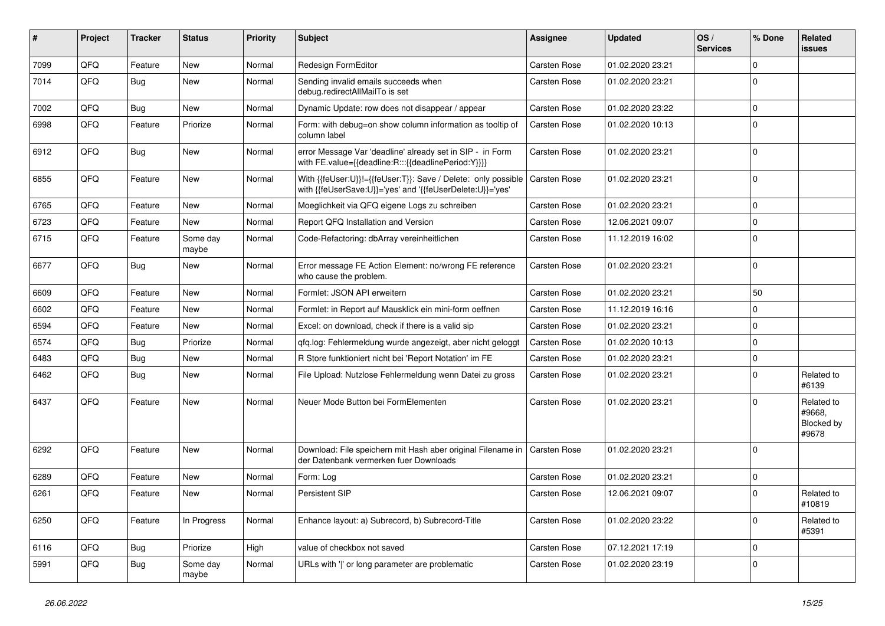| #    | Project | <b>Tracker</b> | <b>Status</b>     | <b>Priority</b> | <b>Subject</b>                                                                                                             | <b>Assignee</b>     | <b>Updated</b>   | OS/<br><b>Services</b> | % Done      | Related<br><b>issues</b>                    |
|------|---------|----------------|-------------------|-----------------|----------------------------------------------------------------------------------------------------------------------------|---------------------|------------------|------------------------|-------------|---------------------------------------------|
| 7099 | QFQ     | Feature        | <b>New</b>        | Normal          | Redesign FormEditor                                                                                                        | Carsten Rose        | 01.02.2020 23:21 |                        | $\Omega$    |                                             |
| 7014 | QFQ     | <b>Bug</b>     | <b>New</b>        | Normal          | Sending invalid emails succeeds when<br>debug.redirectAllMailTo is set                                                     | Carsten Rose        | 01.02.2020 23:21 |                        | $\Omega$    |                                             |
| 7002 | QFQ     | <b>Bug</b>     | <b>New</b>        | Normal          | Dynamic Update: row does not disappear / appear                                                                            | <b>Carsten Rose</b> | 01.02.2020 23:22 |                        | $\Omega$    |                                             |
| 6998 | QFQ     | Feature        | Priorize          | Normal          | Form: with debug=on show column information as tooltip of<br>column label                                                  | Carsten Rose        | 01.02.2020 10:13 |                        | $\Omega$    |                                             |
| 6912 | QFQ     | Bug            | <b>New</b>        | Normal          | error Message Var 'deadline' already set in SIP - in Form<br>with FE.value={{deadline:R:::{{deadlinePeriod:Y}}}}           | <b>Carsten Rose</b> | 01.02.2020 23:21 |                        | $\Omega$    |                                             |
| 6855 | QFQ     | Feature        | <b>New</b>        | Normal          | With {{feUser:U}}!={{feUser:T}}: Save / Delete: only possible<br>with {{feUserSave:U}}='yes' and '{{feUserDelete:U}}='yes' | Carsten Rose        | 01.02.2020 23:21 |                        | $\Omega$    |                                             |
| 6765 | QFQ     | Feature        | <b>New</b>        | Normal          | Moeglichkeit via QFQ eigene Logs zu schreiben                                                                              | Carsten Rose        | 01.02.2020 23:21 |                        | $\Omega$    |                                             |
| 6723 | QFQ     | Feature        | New               | Normal          | Report QFQ Installation and Version                                                                                        | Carsten Rose        | 12.06.2021 09:07 |                        | $\Omega$    |                                             |
| 6715 | QFQ     | Feature        | Some day<br>maybe | Normal          | Code-Refactoring: dbArray vereinheitlichen                                                                                 | <b>Carsten Rose</b> | 11.12.2019 16:02 |                        | $\Omega$    |                                             |
| 6677 | QFQ     | Bug            | <b>New</b>        | Normal          | Error message FE Action Element: no/wrong FE reference<br>who cause the problem.                                           | <b>Carsten Rose</b> | 01.02.2020 23:21 |                        | $\Omega$    |                                             |
| 6609 | QFQ     | Feature        | <b>New</b>        | Normal          | Formlet: JSON API erweitern                                                                                                | <b>Carsten Rose</b> | 01.02.2020 23:21 |                        | 50          |                                             |
| 6602 | QFQ     | Feature        | <b>New</b>        | Normal          | Formlet: in Report auf Mausklick ein mini-form oeffnen                                                                     | Carsten Rose        | 11.12.2019 16:16 |                        | $\mathbf 0$ |                                             |
| 6594 | QFQ     | Feature        | New               | Normal          | Excel: on download, check if there is a valid sip                                                                          | Carsten Rose        | 01.02.2020 23:21 |                        | $\Omega$    |                                             |
| 6574 | QFQ     | <b>Bug</b>     | Priorize          | Normal          | qfq.log: Fehlermeldung wurde angezeigt, aber nicht geloggt                                                                 | <b>Carsten Rose</b> | 01.02.2020 10:13 |                        | $\Omega$    |                                             |
| 6483 | QFQ     | <b>Bug</b>     | <b>New</b>        | Normal          | R Store funktioniert nicht bei 'Report Notation' im FE                                                                     | Carsten Rose        | 01.02.2020 23:21 |                        | $\Omega$    |                                             |
| 6462 | QFQ     | <b>Bug</b>     | New               | Normal          | File Upload: Nutzlose Fehlermeldung wenn Datei zu gross                                                                    | Carsten Rose        | 01.02.2020 23:21 |                        | $\Omega$    | Related to<br>#6139                         |
| 6437 | QFQ     | Feature        | <b>New</b>        | Normal          | Neuer Mode Button bei FormElementen                                                                                        | <b>Carsten Rose</b> | 01.02.2020 23:21 |                        | $\Omega$    | Related to<br>#9668,<br>Blocked by<br>#9678 |
| 6292 | QFQ     | Feature        | <b>New</b>        | Normal          | Download: File speichern mit Hash aber original Filename in   Carsten Rose<br>der Datenbank vermerken fuer Downloads       |                     | 01.02.2020 23:21 |                        | $\Omega$    |                                             |
| 6289 | QFQ     | Feature        | <b>New</b>        | Normal          | Form: Log                                                                                                                  | Carsten Rose        | 01.02.2020 23:21 |                        | $\Omega$    |                                             |
| 6261 | QFQ     | Feature        | <b>New</b>        | Normal          | <b>Persistent SIP</b>                                                                                                      | Carsten Rose        | 12.06.2021 09:07 |                        | $\Omega$    | Related to<br>#10819                        |
| 6250 | QFQ     | Feature        | In Progress       | Normal          | Enhance layout: a) Subrecord, b) Subrecord-Title                                                                           | <b>Carsten Rose</b> | 01.02.2020 23:22 |                        | $\Omega$    | Related to<br>#5391                         |
| 6116 | QFQ     | <b>Bug</b>     | Priorize          | High            | value of checkbox not saved                                                                                                | Carsten Rose        | 07.12.2021 17:19 |                        | $\Omega$    |                                             |
| 5991 | QFQ     | Bug            | Some day<br>maybe | Normal          | URLs with ' ' or long parameter are problematic                                                                            | <b>Carsten Rose</b> | 01.02.2020 23:19 |                        | $\Omega$    |                                             |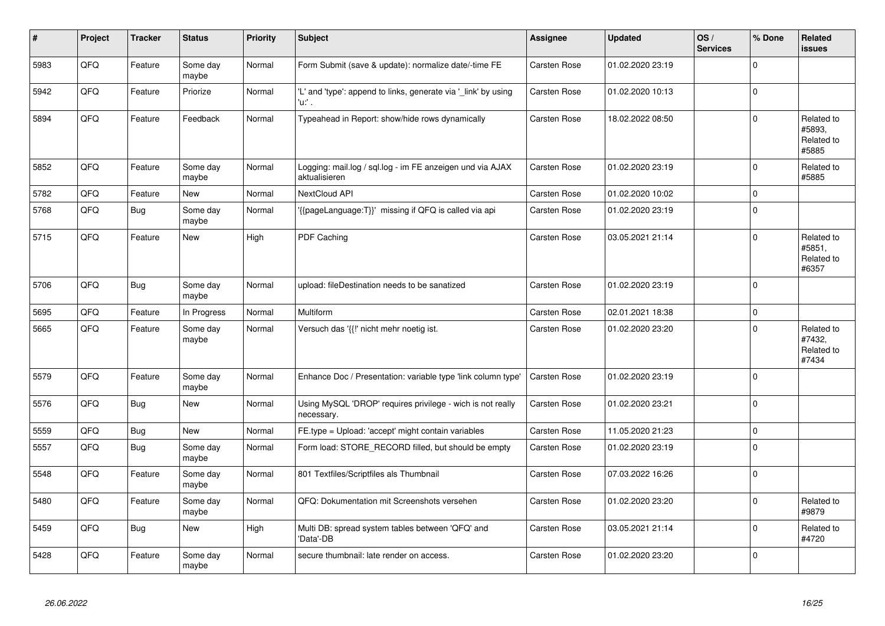| #    | Project | <b>Tracker</b> | <b>Status</b>     | <b>Priority</b> | <b>Subject</b>                                                             | Assignee     | <b>Updated</b>   | OS/<br><b>Services</b> | % Done         | Related<br><b>issues</b>                    |
|------|---------|----------------|-------------------|-----------------|----------------------------------------------------------------------------|--------------|------------------|------------------------|----------------|---------------------------------------------|
| 5983 | QFQ     | Feature        | Some day<br>maybe | Normal          | Form Submit (save & update): normalize date/-time FE                       | Carsten Rose | 01.02.2020 23:19 |                        | $\mathbf 0$    |                                             |
| 5942 | QFQ     | Feature        | Priorize          | Normal          | 'L' and 'type': append to links, generate via '_link' by using<br>'u:' .   | Carsten Rose | 01.02.2020 10:13 |                        | $\mathbf 0$    |                                             |
| 5894 | QFQ     | Feature        | Feedback          | Normal          | Typeahead in Report: show/hide rows dynamically                            | Carsten Rose | 18.02.2022 08:50 |                        | $\mathbf 0$    | Related to<br>#5893.<br>Related to<br>#5885 |
| 5852 | QFQ     | Feature        | Some day<br>maybe | Normal          | Logging: mail.log / sql.log - im FE anzeigen und via AJAX<br>aktualisieren | Carsten Rose | 01.02.2020 23:19 |                        | $\mathbf 0$    | Related to<br>#5885                         |
| 5782 | QFQ     | Feature        | <b>New</b>        | Normal          | NextCloud API                                                              | Carsten Rose | 01.02.2020 10:02 |                        | $\mathbf 0$    |                                             |
| 5768 | QFQ     | <b>Bug</b>     | Some day<br>maybe | Normal          | {{pageLanguage:T}}' missing if QFQ is called via api                       | Carsten Rose | 01.02.2020 23:19 |                        | $\overline{0}$ |                                             |
| 5715 | QFQ     | Feature        | New               | High            | PDF Caching                                                                | Carsten Rose | 03.05.2021 21:14 |                        | $\mathbf 0$    | Related to<br>#5851,<br>Related to<br>#6357 |
| 5706 | QFQ     | Bug            | Some day<br>maybe | Normal          | upload: fileDestination needs to be sanatized                              | Carsten Rose | 01.02.2020 23:19 |                        | $\Omega$       |                                             |
| 5695 | QFQ     | Feature        | In Progress       | Normal          | Multiform                                                                  | Carsten Rose | 02.01.2021 18:38 |                        | $\mathbf 0$    |                                             |
| 5665 | QFQ     | Feature        | Some day<br>maybe | Normal          | Versuch das '{{!' nicht mehr noetig ist.                                   | Carsten Rose | 01.02.2020 23:20 |                        | $\mathbf 0$    | Related to<br>#7432,<br>Related to<br>#7434 |
| 5579 | QFQ     | Feature        | Some day<br>maybe | Normal          | Enhance Doc / Presentation: variable type 'link column type'               | Carsten Rose | 01.02.2020 23:19 |                        | $\mathbf 0$    |                                             |
| 5576 | QFQ     | <b>Bug</b>     | <b>New</b>        | Normal          | Using MySQL 'DROP' requires privilege - wich is not really<br>necessary.   | Carsten Rose | 01.02.2020 23:21 |                        | $\mathbf 0$    |                                             |
| 5559 | QFQ     | Bug            | New               | Normal          | FE.type = Upload: 'accept' might contain variables                         | Carsten Rose | 11.05.2020 21:23 |                        | $\pmb{0}$      |                                             |
| 5557 | QFQ     | <b>Bug</b>     | Some day<br>maybe | Normal          | Form load: STORE_RECORD filled, but should be empty                        | Carsten Rose | 01.02.2020 23:19 |                        | $\mathbf 0$    |                                             |
| 5548 | QFQ     | Feature        | Some day<br>maybe | Normal          | 801 Textfiles/Scriptfiles als Thumbnail                                    | Carsten Rose | 07.03.2022 16:26 |                        | $\Omega$       |                                             |
| 5480 | QFQ     | Feature        | Some day<br>maybe | Normal          | QFQ: Dokumentation mit Screenshots versehen                                | Carsten Rose | 01.02.2020 23:20 |                        | $\mathbf 0$    | Related to<br>#9879                         |
| 5459 | QFQ     | <b>Bug</b>     | <b>New</b>        | High            | Multi DB: spread system tables between 'QFQ' and<br>'Data'-DB              | Carsten Rose | 03.05.2021 21:14 |                        | $\pmb{0}$      | Related to<br>#4720                         |
| 5428 | QFQ     | Feature        | Some day<br>maybe | Normal          | secure thumbnail: late render on access.                                   | Carsten Rose | 01.02.2020 23:20 |                        | $\mathbf 0$    |                                             |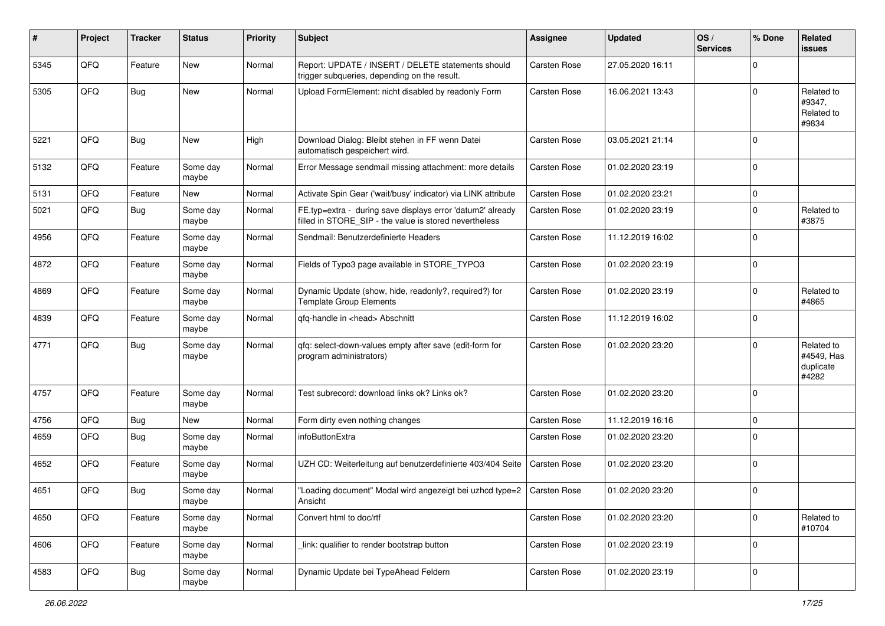| #    | Project | <b>Tracker</b> | <b>Status</b>     | <b>Priority</b> | <b>Subject</b>                                                                                                       | Assignee     | <b>Updated</b>   | OS/<br><b>Services</b> | % Done      | Related<br><b>issues</b>                       |
|------|---------|----------------|-------------------|-----------------|----------------------------------------------------------------------------------------------------------------------|--------------|------------------|------------------------|-------------|------------------------------------------------|
| 5345 | QFQ     | Feature        | New               | Normal          | Report: UPDATE / INSERT / DELETE statements should<br>trigger subqueries, depending on the result.                   | Carsten Rose | 27.05.2020 16:11 |                        | $\mathbf 0$ |                                                |
| 5305 | QFQ     | Bug            | New               | Normal          | Upload FormElement: nicht disabled by readonly Form                                                                  | Carsten Rose | 16.06.2021 13:43 |                        | $\mathbf 0$ | Related to<br>#9347,<br>Related to<br>#9834    |
| 5221 | QFQ     | <b>Bug</b>     | New               | High            | Download Dialog: Bleibt stehen in FF wenn Datei<br>automatisch gespeichert wird.                                     | Carsten Rose | 03.05.2021 21:14 |                        | $\mathbf 0$ |                                                |
| 5132 | QFQ     | Feature        | Some day<br>maybe | Normal          | Error Message sendmail missing attachment: more details                                                              | Carsten Rose | 01.02.2020 23:19 |                        | $\pmb{0}$   |                                                |
| 5131 | QFQ     | Feature        | New               | Normal          | Activate Spin Gear ('wait/busy' indicator) via LINK attribute                                                        | Carsten Rose | 01.02.2020 23:21 |                        | $\mathbf 0$ |                                                |
| 5021 | QFQ     | Bug            | Some day<br>maybe | Normal          | FE.typ=extra - during save displays error 'datum2' already<br>filled in STORE SIP - the value is stored nevertheless | Carsten Rose | 01.02.2020 23:19 |                        | $\mathbf 0$ | Related to<br>#3875                            |
| 4956 | QFQ     | Feature        | Some day<br>maybe | Normal          | Sendmail: Benutzerdefinierte Headers                                                                                 | Carsten Rose | 11.12.2019 16:02 |                        | $\mathbf 0$ |                                                |
| 4872 | QFQ     | Feature        | Some day<br>maybe | Normal          | Fields of Typo3 page available in STORE_TYPO3                                                                        | Carsten Rose | 01.02.2020 23:19 |                        | $\mathbf 0$ |                                                |
| 4869 | QFQ     | Feature        | Some day<br>maybe | Normal          | Dynamic Update (show, hide, readonly?, required?) for<br><b>Template Group Elements</b>                              | Carsten Rose | 01.02.2020 23:19 |                        | $\mathbf 0$ | Related to<br>#4865                            |
| 4839 | QFQ     | Feature        | Some day<br>maybe | Normal          | qfq-handle in <head> Abschnitt</head>                                                                                | Carsten Rose | 11.12.2019 16:02 |                        | $\mathbf 0$ |                                                |
| 4771 | QFQ     | Bug            | Some day<br>maybe | Normal          | qfq: select-down-values empty after save (edit-form for<br>program administrators)                                   | Carsten Rose | 01.02.2020 23:20 |                        | $\Omega$    | Related to<br>#4549, Has<br>duplicate<br>#4282 |
| 4757 | QFQ     | Feature        | Some day<br>maybe | Normal          | Test subrecord: download links ok? Links ok?                                                                         | Carsten Rose | 01.02.2020 23:20 |                        | $\mathbf 0$ |                                                |
| 4756 | QFQ     | <b>Bug</b>     | New               | Normal          | Form dirty even nothing changes                                                                                      | Carsten Rose | 11.12.2019 16:16 |                        | $\mathbf 0$ |                                                |
| 4659 | QFQ     | <b>Bug</b>     | Some day<br>maybe | Normal          | infoButtonExtra                                                                                                      | Carsten Rose | 01.02.2020 23:20 |                        | $\Omega$    |                                                |
| 4652 | QFQ     | Feature        | Some day<br>maybe | Normal          | UZH CD: Weiterleitung auf benutzerdefinierte 403/404 Seite                                                           | Carsten Rose | 01.02.2020 23:20 |                        | $\mathbf 0$ |                                                |
| 4651 | QFQ     | <b>Bug</b>     | Some day<br>maybe | Normal          | 'Loading document" Modal wird angezeigt bei uzhcd type=2<br>Ansicht                                                  | Carsten Rose | 01.02.2020 23:20 |                        | $\mathbf 0$ |                                                |
| 4650 | QFQ     | Feature        | Some day<br>maybe | Normal          | Convert html to doc/rtf                                                                                              | Carsten Rose | 01.02.2020 23:20 |                        | $\mathbf 0$ | Related to<br>#10704                           |
| 4606 | QFQ     | Feature        | Some day<br>maybe | Normal          | link: qualifier to render bootstrap button                                                                           | Carsten Rose | 01.02.2020 23:19 |                        | $\mathbf 0$ |                                                |
| 4583 | QFQ     | <b>Bug</b>     | Some day<br>maybe | Normal          | Dynamic Update bei TypeAhead Feldern                                                                                 | Carsten Rose | 01.02.2020 23:19 |                        | $\pmb{0}$   |                                                |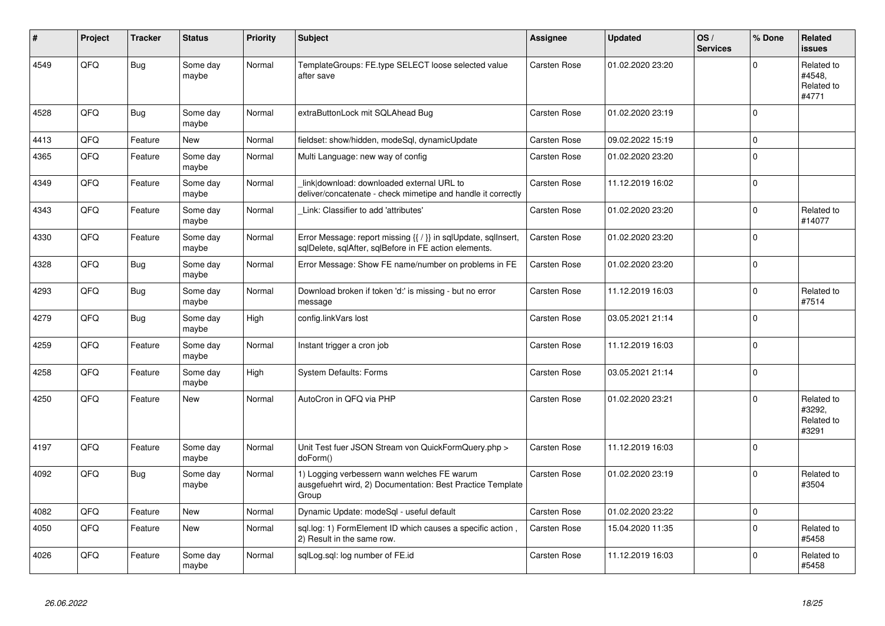| #    | Project | <b>Tracker</b> | <b>Status</b>     | <b>Priority</b> | <b>Subject</b>                                                                                                          | <b>Assignee</b>     | <b>Updated</b>   | OS/<br><b>Services</b> | % Done      | Related<br><b>issues</b>                    |
|------|---------|----------------|-------------------|-----------------|-------------------------------------------------------------------------------------------------------------------------|---------------------|------------------|------------------------|-------------|---------------------------------------------|
| 4549 | QFQ     | <b>Bug</b>     | Some day<br>maybe | Normal          | TemplateGroups: FE.type SELECT loose selected value<br>after save                                                       | Carsten Rose        | 01.02.2020 23:20 |                        | $\Omega$    | Related to<br>#4548.<br>Related to<br>#4771 |
| 4528 | QFQ     | Bug            | Some day<br>maybe | Normal          | extraButtonLock mit SQLAhead Bug                                                                                        | <b>Carsten Rose</b> | 01.02.2020 23:19 |                        | $\mathbf 0$ |                                             |
| 4413 | QFQ     | Feature        | <b>New</b>        | Normal          | fieldset: show/hidden, modeSgl, dynamicUpdate                                                                           | Carsten Rose        | 09.02.2022 15:19 |                        | $\Omega$    |                                             |
| 4365 | QFQ     | Feature        | Some day<br>maybe | Normal          | Multi Language: new way of config                                                                                       | Carsten Rose        | 01.02.2020 23:20 |                        | $\Omega$    |                                             |
| 4349 | QFQ     | Feature        | Some day<br>maybe | Normal          | link download: downloaded external URL to<br>deliver/concatenate - check mimetipe and handle it correctly               | Carsten Rose        | 11.12.2019 16:02 |                        | $\Omega$    |                                             |
| 4343 | QFQ     | Feature        | Some day<br>maybe | Normal          | Link: Classifier to add 'attributes'                                                                                    | Carsten Rose        | 01.02.2020 23:20 |                        | $\mathbf 0$ | Related to<br>#14077                        |
| 4330 | QFQ     | Feature        | Some day<br>maybe | Normal          | Error Message: report missing {{ / }} in sqlUpdate, sqlInsert,<br>sqlDelete, sqlAfter, sqlBefore in FE action elements. | Carsten Rose        | 01.02.2020 23:20 |                        | $\Omega$    |                                             |
| 4328 | QFQ     | <b>Bug</b>     | Some day<br>maybe | Normal          | Error Message: Show FE name/number on problems in FE                                                                    | Carsten Rose        | 01.02.2020 23:20 |                        | $\mathbf 0$ |                                             |
| 4293 | QFQ     | <b>Bug</b>     | Some day<br>maybe | Normal          | Download broken if token 'd:' is missing - but no error<br>message                                                      | Carsten Rose        | 11.12.2019 16:03 |                        | $\Omega$    | Related to<br>#7514                         |
| 4279 | QFQ     | <b>Bug</b>     | Some day<br>maybe | High            | config.linkVars lost                                                                                                    | Carsten Rose        | 03.05.2021 21:14 |                        | $\Omega$    |                                             |
| 4259 | QFQ     | Feature        | Some day<br>maybe | Normal          | Instant trigger a cron job                                                                                              | Carsten Rose        | 11.12.2019 16:03 |                        | 0           |                                             |
| 4258 | QFQ     | Feature        | Some day<br>maybe | High            | <b>System Defaults: Forms</b>                                                                                           | Carsten Rose        | 03.05.2021 21:14 |                        | $\Omega$    |                                             |
| 4250 | QFQ     | Feature        | New               | Normal          | AutoCron in QFQ via PHP                                                                                                 | Carsten Rose        | 01.02.2020 23:21 |                        | $\Omega$    | Related to<br>#3292.<br>Related to<br>#3291 |
| 4197 | QFQ     | Feature        | Some day<br>maybe | Normal          | Unit Test fuer JSON Stream von QuickFormQuery.php ><br>doForm()                                                         | <b>Carsten Rose</b> | 11.12.2019 16:03 |                        | $\mathbf 0$ |                                             |
| 4092 | QFQ     | Bug            | Some day<br>maybe | Normal          | 1) Logging verbessern wann welches FE warum<br>ausgefuehrt wird, 2) Documentation: Best Practice Template<br>Group      | Carsten Rose        | 01.02.2020 23:19 |                        | $\Omega$    | Related to<br>#3504                         |
| 4082 | QFQ     | Feature        | New               | Normal          | Dynamic Update: modeSql - useful default                                                                                | Carsten Rose        | 01.02.2020 23:22 |                        | $\mathbf 0$ |                                             |
| 4050 | QFQ     | Feature        | New               | Normal          | sql.log: 1) FormElement ID which causes a specific action,<br>2) Result in the same row.                                | Carsten Rose        | 15.04.2020 11:35 |                        | $\Omega$    | Related to<br>#5458                         |
| 4026 | QFQ     | Feature        | Some day<br>maybe | Normal          | sqlLog.sql: log number of FE.id                                                                                         | Carsten Rose        | 11.12.2019 16:03 |                        | $\Omega$    | Related to<br>#5458                         |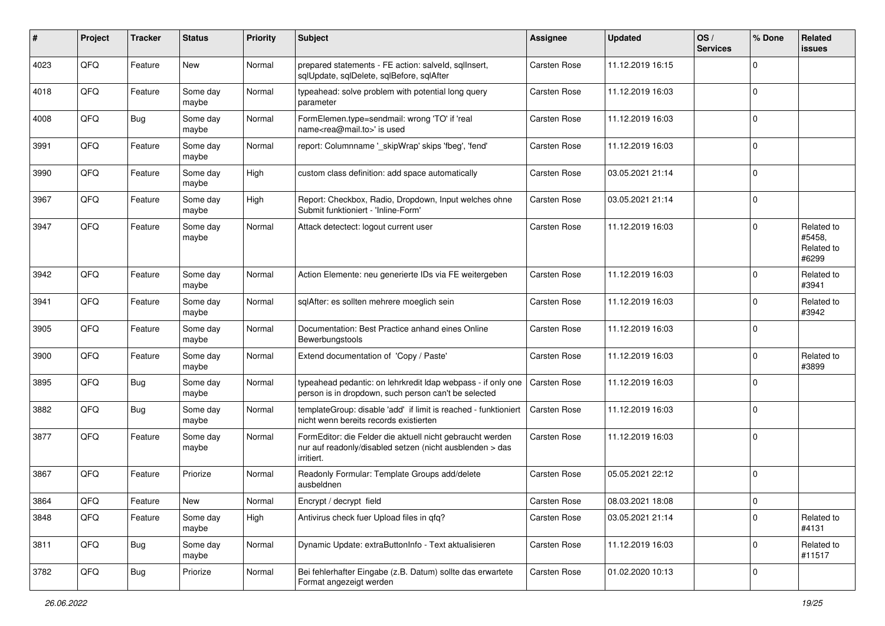| ∦    | Project | <b>Tracker</b> | <b>Status</b>     | <b>Priority</b> | <b>Subject</b>                                                                                                                      | Assignee     | <b>Updated</b>   | OS/<br><b>Services</b> | % Done      | <b>Related</b><br>issues                    |
|------|---------|----------------|-------------------|-----------------|-------------------------------------------------------------------------------------------------------------------------------------|--------------|------------------|------------------------|-------------|---------------------------------------------|
| 4023 | QFQ     | Feature        | <b>New</b>        | Normal          | prepared statements - FE action: salveld, sqllnsert,<br>sqlUpdate, sqlDelete, sqlBefore, sqlAfter                                   | Carsten Rose | 11.12.2019 16:15 |                        | $\Omega$    |                                             |
| 4018 | QFQ     | Feature        | Some day<br>maybe | Normal          | typeahead: solve problem with potential long query<br>parameter                                                                     | Carsten Rose | 11.12.2019 16:03 |                        | $\mathbf 0$ |                                             |
| 4008 | QFQ     | <b>Bug</b>     | Some day<br>maybe | Normal          | FormElemen.type=sendmail: wrong 'TO' if 'real<br>name <rea@mail.to>' is used</rea@mail.to>                                          | Carsten Rose | 11.12.2019 16:03 |                        | $\mathbf 0$ |                                             |
| 3991 | QFQ     | Feature        | Some day<br>maybe | Normal          | report: Columnname '_skipWrap' skips 'fbeg', 'fend'                                                                                 | Carsten Rose | 11.12.2019 16:03 |                        | $\mathbf 0$ |                                             |
| 3990 | QFQ     | Feature        | Some day<br>maybe | High            | custom class definition: add space automatically                                                                                    | Carsten Rose | 03.05.2021 21:14 |                        | $\Omega$    |                                             |
| 3967 | QFQ     | Feature        | Some day<br>maybe | High            | Report: Checkbox, Radio, Dropdown, Input welches ohne<br>Submit funktioniert - 'Inline-Form'                                        | Carsten Rose | 03.05.2021 21:14 |                        | $\Omega$    |                                             |
| 3947 | QFQ     | Feature        | Some day<br>maybe | Normal          | Attack detectect: logout current user                                                                                               | Carsten Rose | 11.12.2019 16:03 |                        | $\Omega$    | Related to<br>#5458,<br>Related to<br>#6299 |
| 3942 | QFQ     | Feature        | Some day<br>maybe | Normal          | Action Elemente: neu generierte IDs via FE weitergeben                                                                              | Carsten Rose | 11.12.2019 16:03 |                        | $\mathbf 0$ | Related to<br>#3941                         |
| 3941 | QFQ     | Feature        | Some day<br>maybe | Normal          | sqlAfter: es sollten mehrere moeglich sein                                                                                          | Carsten Rose | 11.12.2019 16:03 |                        | $\Omega$    | Related to<br>#3942                         |
| 3905 | QFQ     | Feature        | Some day<br>maybe | Normal          | Documentation: Best Practice anhand eines Online<br>Bewerbungstools                                                                 | Carsten Rose | 11.12.2019 16:03 |                        | $\mathbf 0$ |                                             |
| 3900 | QFQ     | Feature        | Some day<br>maybe | Normal          | Extend documentation of 'Copy / Paste'                                                                                              | Carsten Rose | 11.12.2019 16:03 |                        | $\mathbf 0$ | Related to<br>#3899                         |
| 3895 | QFQ     | Bug            | Some day<br>maybe | Normal          | typeahead pedantic: on lehrkredit Idap webpass - if only one<br>person is in dropdown, such person can't be selected                | Carsten Rose | 11.12.2019 16:03 |                        | $\Omega$    |                                             |
| 3882 | QFQ     | <b>Bug</b>     | Some day<br>maybe | Normal          | templateGroup: disable 'add' if limit is reached - funktioniert<br>nicht wenn bereits records existierten                           | Carsten Rose | 11.12.2019 16:03 |                        | $\mathbf 0$ |                                             |
| 3877 | QFQ     | Feature        | Some day<br>maybe | Normal          | FormEditor: die Felder die aktuell nicht gebraucht werden<br>nur auf readonly/disabled setzen (nicht ausblenden > das<br>irritiert. | Carsten Rose | 11.12.2019 16:03 |                        | $\mathbf 0$ |                                             |
| 3867 | QFQ     | Feature        | Priorize          | Normal          | Readonly Formular: Template Groups add/delete<br>ausbeldnen                                                                         | Carsten Rose | 05.05.2021 22:12 |                        | $\Omega$    |                                             |
| 3864 | QFQ     | Feature        | New               | Normal          | Encrypt / decrypt field                                                                                                             | Carsten Rose | 08.03.2021 18:08 |                        | 0           |                                             |
| 3848 | QFQ     | Feature        | Some day<br>maybe | High            | Antivirus check fuer Upload files in qfq?                                                                                           | Carsten Rose | 03.05.2021 21:14 |                        | $\Omega$    | Related to<br>#4131                         |
| 3811 | QFQ     | <b>Bug</b>     | Some day<br>maybe | Normal          | Dynamic Update: extraButtonInfo - Text aktualisieren                                                                                | Carsten Rose | 11.12.2019 16:03 |                        | $\mathbf 0$ | Related to<br>#11517                        |
| 3782 | QFQ     | <b>Bug</b>     | Priorize          | Normal          | Bei fehlerhafter Eingabe (z.B. Datum) sollte das erwartete<br>Format angezeigt werden                                               | Carsten Rose | 01.02.2020 10:13 |                        | $\mathbf 0$ |                                             |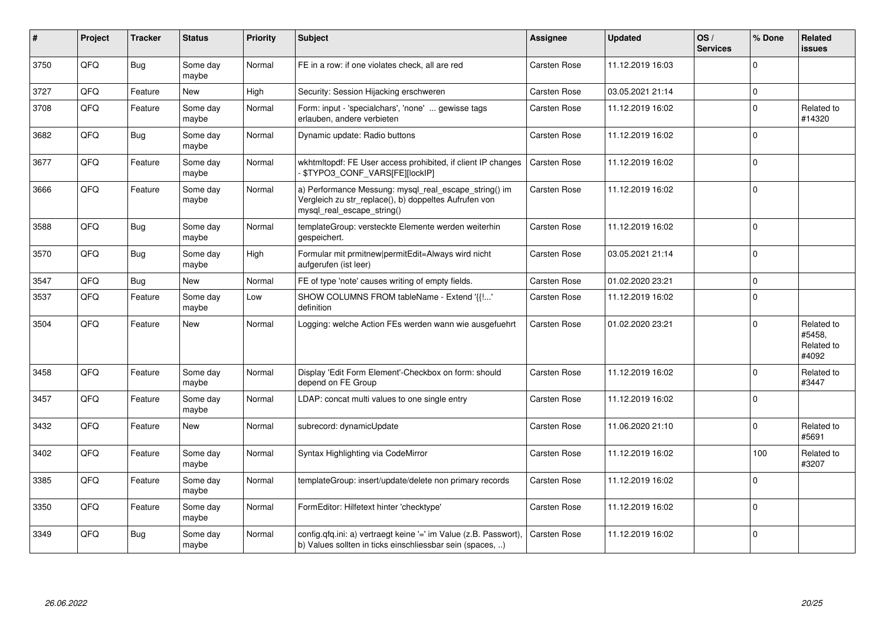| #    | Project | <b>Tracker</b> | <b>Status</b>     | <b>Priority</b> | <b>Subject</b>                                                                                                                               | Assignee            | <b>Updated</b>   | OS/<br><b>Services</b> | % Done   | Related<br><b>issues</b>                    |
|------|---------|----------------|-------------------|-----------------|----------------------------------------------------------------------------------------------------------------------------------------------|---------------------|------------------|------------------------|----------|---------------------------------------------|
| 3750 | QFQ     | Bug            | Some day<br>maybe | Normal          | FE in a row: if one violates check, all are red                                                                                              | Carsten Rose        | 11.12.2019 16:03 |                        | $\Omega$ |                                             |
| 3727 | QFQ     | Feature        | <b>New</b>        | High            | Security: Session Hijacking erschweren                                                                                                       | Carsten Rose        | 03.05.2021 21:14 |                        | $\Omega$ |                                             |
| 3708 | QFQ     | Feature        | Some day<br>maybe | Normal          | Form: input - 'specialchars', 'none'  gewisse tags<br>erlauben, andere verbieten                                                             | Carsten Rose        | 11.12.2019 16:02 |                        | $\Omega$ | Related to<br>#14320                        |
| 3682 | QFQ     | Bug            | Some day<br>maybe | Normal          | Dynamic update: Radio buttons                                                                                                                | <b>Carsten Rose</b> | 11.12.2019 16:02 |                        | $\Omega$ |                                             |
| 3677 | QFQ     | Feature        | Some day<br>maybe | Normal          | wkhtmltopdf: FE User access prohibited, if client IP changes<br>\$TYPO3_CONF_VARS[FE][lockIP]                                                | Carsten Rose        | 11.12.2019 16:02 |                        | $\Omega$ |                                             |
| 3666 | QFQ     | Feature        | Some day<br>maybe | Normal          | a) Performance Messung: mysql_real_escape_string() im<br>Vergleich zu str_replace(), b) doppeltes Aufrufen von<br>mysql_real_escape_string() | Carsten Rose        | 11.12.2019 16:02 |                        | $\Omega$ |                                             |
| 3588 | QFQ     | Bug            | Some day<br>maybe | Normal          | templateGroup: versteckte Elemente werden weiterhin<br>gespeichert.                                                                          | Carsten Rose        | 11.12.2019 16:02 |                        | $\Omega$ |                                             |
| 3570 | QFQ     | Bug            | Some day<br>maybe | High            | Formular mit prmitnew permitEdit=Always wird nicht<br>aufgerufen (ist leer)                                                                  | Carsten Rose        | 03.05.2021 21:14 |                        | $\Omega$ |                                             |
| 3547 | QFQ     | <b>Bug</b>     | <b>New</b>        | Normal          | FE of type 'note' causes writing of empty fields.                                                                                            | Carsten Rose        | 01.02.2020 23:21 |                        | $\Omega$ |                                             |
| 3537 | QFQ     | Feature        | Some day<br>maybe | Low             | SHOW COLUMNS FROM tableName - Extend '{{!'<br>definition                                                                                     | Carsten Rose        | 11.12.2019 16:02 |                        | $\Omega$ |                                             |
| 3504 | QFQ     | Feature        | <b>New</b>        | Normal          | Logging: welche Action FEs werden wann wie ausgefuehrt                                                                                       | Carsten Rose        | 01.02.2020 23:21 |                        | $\Omega$ | Related to<br>#5458.<br>Related to<br>#4092 |
| 3458 | QFQ     | Feature        | Some day<br>maybe | Normal          | Display 'Edit Form Element'-Checkbox on form: should<br>depend on FE Group                                                                   | Carsten Rose        | 11.12.2019 16:02 |                        | $\Omega$ | Related to<br>#3447                         |
| 3457 | QFQ     | Feature        | Some day<br>maybe | Normal          | LDAP: concat multi values to one single entry                                                                                                | Carsten Rose        | 11.12.2019 16:02 |                        | $\Omega$ |                                             |
| 3432 | QFQ     | Feature        | <b>New</b>        | Normal          | subrecord: dynamicUpdate                                                                                                                     | Carsten Rose        | 11.06.2020 21:10 |                        | $\Omega$ | Related to<br>#5691                         |
| 3402 | QFQ     | Feature        | Some day<br>maybe | Normal          | Syntax Highlighting via CodeMirror                                                                                                           | Carsten Rose        | 11.12.2019 16:02 |                        | 100      | Related to<br>#3207                         |
| 3385 | QFQ     | Feature        | Some day<br>maybe | Normal          | templateGroup: insert/update/delete non primary records                                                                                      | Carsten Rose        | 11.12.2019 16:02 |                        | $\Omega$ |                                             |
| 3350 | QFQ     | Feature        | Some day<br>maybe | Normal          | FormEditor: Hilfetext hinter 'checktype'                                                                                                     | Carsten Rose        | 11.12.2019 16:02 |                        | $\Omega$ |                                             |
| 3349 | QFQ     | Bug            | Some day<br>maybe | Normal          | config.qfq.ini: a) vertraegt keine '=' im Value (z.B. Passwort),<br>b) Values sollten in ticks einschliessbar sein (spaces, )                | Carsten Rose        | 11.12.2019 16:02 |                        | $\Omega$ |                                             |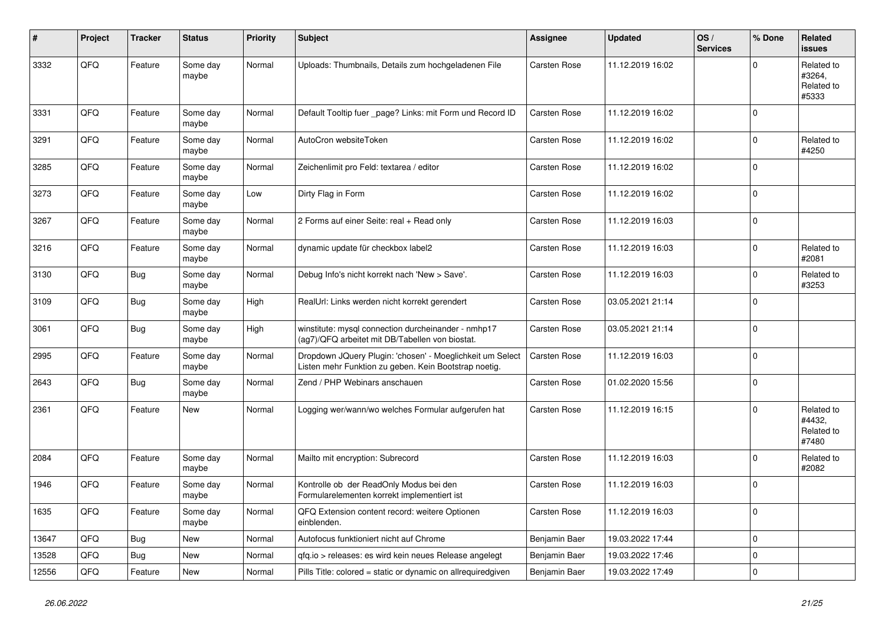| #     | Project | <b>Tracker</b> | <b>Status</b>     | <b>Priority</b> | <b>Subject</b>                                                                                                     | Assignee            | <b>Updated</b>   | OS/<br><b>Services</b> | % Done       | Related<br><b>issues</b>                    |
|-------|---------|----------------|-------------------|-----------------|--------------------------------------------------------------------------------------------------------------------|---------------------|------------------|------------------------|--------------|---------------------------------------------|
| 3332  | QFQ     | Feature        | Some day<br>maybe | Normal          | Uploads: Thumbnails, Details zum hochgeladenen File                                                                | Carsten Rose        | 11.12.2019 16:02 |                        | $\Omega$     | Related to<br>#3264,<br>Related to<br>#5333 |
| 3331  | QFQ     | Feature        | Some day<br>maybe | Normal          | Default Tooltip fuer page? Links: mit Form und Record ID                                                           | Carsten Rose        | 11.12.2019 16:02 |                        | $\mathbf{0}$ |                                             |
| 3291  | QFQ     | Feature        | Some day<br>maybe | Normal          | AutoCron websiteToken                                                                                              | Carsten Rose        | 11.12.2019 16:02 |                        | 0            | Related to<br>#4250                         |
| 3285  | QFQ     | Feature        | Some day<br>maybe | Normal          | Zeichenlimit pro Feld: textarea / editor                                                                           | Carsten Rose        | 11.12.2019 16:02 |                        | $\Omega$     |                                             |
| 3273  | QFQ     | Feature        | Some day<br>maybe | Low             | Dirty Flag in Form                                                                                                 | Carsten Rose        | 11.12.2019 16:02 |                        | $\mathbf{0}$ |                                             |
| 3267  | QFQ     | Feature        | Some day<br>maybe | Normal          | 2 Forms auf einer Seite: real + Read only                                                                          | <b>Carsten Rose</b> | 11.12.2019 16:03 |                        | $\pmb{0}$    |                                             |
| 3216  | QFQ     | Feature        | Some day<br>maybe | Normal          | dynamic update für checkbox label2                                                                                 | <b>Carsten Rose</b> | 11.12.2019 16:03 |                        | $\pmb{0}$    | Related to<br>#2081                         |
| 3130  | QFQ     | <b>Bug</b>     | Some day<br>maybe | Normal          | Debug Info's nicht korrekt nach 'New > Save'.                                                                      | <b>Carsten Rose</b> | 11.12.2019 16:03 |                        | $\pmb{0}$    | Related to<br>#3253                         |
| 3109  | QFQ     | <b>Bug</b>     | Some day<br>maybe | High            | RealUrl: Links werden nicht korrekt gerendert                                                                      | Carsten Rose        | 03.05.2021 21:14 |                        | $\mathbf 0$  |                                             |
| 3061  | QFQ     | Bug            | Some day<br>maybe | High            | winstitute: mysql connection durcheinander - nmhp17<br>(ag7)/QFQ arbeitet mit DB/Tabellen von biostat.             | Carsten Rose        | 03.05.2021 21:14 |                        | $\mathbf 0$  |                                             |
| 2995  | QFQ     | Feature        | Some day<br>maybe | Normal          | Dropdown JQuery Plugin: 'chosen' - Moeglichkeit um Select<br>Listen mehr Funktion zu geben. Kein Bootstrap noetig. | <b>Carsten Rose</b> | 11.12.2019 16:03 |                        | $\pmb{0}$    |                                             |
| 2643  | QFQ     | <b>Bug</b>     | Some day<br>maybe | Normal          | Zend / PHP Webinars anschauen                                                                                      | Carsten Rose        | 01.02.2020 15:56 |                        | $\pmb{0}$    |                                             |
| 2361  | QFQ     | Feature        | <b>New</b>        | Normal          | Logging wer/wann/wo welches Formular aufgerufen hat                                                                | <b>Carsten Rose</b> | 11.12.2019 16:15 |                        | $\mathbf 0$  | Related to<br>#4432,<br>Related to<br>#7480 |
| 2084  | QFQ     | Feature        | Some day<br>maybe | Normal          | Mailto mit encryption: Subrecord                                                                                   | Carsten Rose        | 11.12.2019 16:03 |                        | $\mathbf 0$  | Related to<br>#2082                         |
| 1946  | QFQ     | Feature        | Some day<br>maybe | Normal          | Kontrolle ob der ReadOnly Modus bei den<br>Formularelementen korrekt implementiert ist                             | Carsten Rose        | 11.12.2019 16:03 |                        | $\mathbf 0$  |                                             |
| 1635  | QFQ     | Feature        | Some day<br>maybe | Normal          | QFQ Extension content record: weitere Optionen<br>einblenden.                                                      | Carsten Rose        | 11.12.2019 16:03 |                        | $\pmb{0}$    |                                             |
| 13647 | QFQ     | Bug            | <b>New</b>        | Normal          | Autofocus funktioniert nicht auf Chrome                                                                            | Benjamin Baer       | 19.03.2022 17:44 |                        | $\pmb{0}$    |                                             |
| 13528 | QFQ     | <b>Bug</b>     | <b>New</b>        | Normal          | gfg.io > releases: es wird kein neues Release angelegt                                                             | Benjamin Baer       | 19.03.2022 17:46 |                        | 0            |                                             |
| 12556 | QFQ     | Feature        | <b>New</b>        | Normal          | Pills Title: colored = static or dynamic on allrequiredgiven                                                       | Benjamin Baer       | 19.03.2022 17:49 |                        | $\pmb{0}$    |                                             |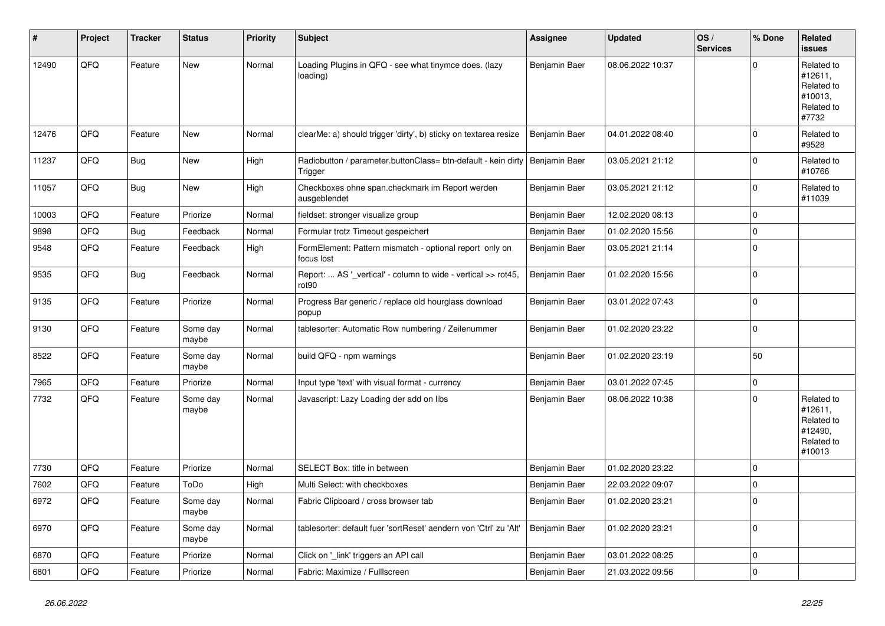| #     | Project | <b>Tracker</b> | <b>Status</b>     | <b>Priority</b> | <b>Subject</b>                                                                           | Assignee      | <b>Updated</b>   | OS/<br><b>Services</b> | % Done      | <b>Related</b><br><b>issues</b>                                        |
|-------|---------|----------------|-------------------|-----------------|------------------------------------------------------------------------------------------|---------------|------------------|------------------------|-------------|------------------------------------------------------------------------|
| 12490 | QFQ     | Feature        | New               | Normal          | Loading Plugins in QFQ - see what tinymce does. (lazy<br>loading)                        | Benjamin Baer | 08.06.2022 10:37 |                        | $\Omega$    | Related to<br>#12611,<br>Related to<br>#10013.<br>Related to<br>#7732  |
| 12476 | QFQ     | Feature        | New               | Normal          | clearMe: a) should trigger 'dirty', b) sticky on textarea resize                         | Benjamin Baer | 04.01.2022 08:40 |                        | $\Omega$    | Related to<br>#9528                                                    |
| 11237 | QFQ     | <b>Bug</b>     | <b>New</b>        | High            | Radiobutton / parameter.buttonClass= btn-default - kein dirty   Benjamin Baer<br>Trigger |               | 03.05.2021 21:12 |                        | $\Omega$    | Related to<br>#10766                                                   |
| 11057 | QFQ     | Bug            | New               | High            | Checkboxes ohne span.checkmark im Report werden<br>ausgeblendet                          | Benjamin Baer | 03.05.2021 21:12 |                        | $\mathbf 0$ | Related to<br>#11039                                                   |
| 10003 | QFQ     | Feature        | Priorize          | Normal          | fieldset: stronger visualize group                                                       | Benjamin Baer | 12.02.2020 08:13 |                        | $\Omega$    |                                                                        |
| 9898  | QFQ     | <b>Bug</b>     | Feedback          | Normal          | Formular trotz Timeout gespeichert                                                       | Benjamin Baer | 01.02.2020 15:56 |                        | 0           |                                                                        |
| 9548  | QFQ     | Feature        | Feedback          | High            | FormElement: Pattern mismatch - optional report only on<br>focus lost                    | Benjamin Baer | 03.05.2021 21:14 |                        | $\Omega$    |                                                                        |
| 9535  | QFQ     | <b>Bug</b>     | Feedback          | Normal          | Report:  AS '_vertical' - column to wide - vertical >> rot45,<br>rot <sub>90</sub>       | Benjamin Baer | 01.02.2020 15:56 |                        | $\Omega$    |                                                                        |
| 9135  | QFQ     | Feature        | Priorize          | Normal          | Progress Bar generic / replace old hourglass download<br>popup                           | Benjamin Baer | 03.01.2022 07:43 |                        | $\Omega$    |                                                                        |
| 9130  | QFQ     | Feature        | Some day<br>maybe | Normal          | tablesorter: Automatic Row numbering / Zeilenummer                                       | Benjamin Baer | 01.02.2020 23:22 |                        | $\Omega$    |                                                                        |
| 8522  | QFQ     | Feature        | Some day<br>maybe | Normal          | build QFQ - npm warnings                                                                 | Benjamin Baer | 01.02.2020 23:19 |                        | 50          |                                                                        |
| 7965  | QFQ     | Feature        | Priorize          | Normal          | Input type 'text' with visual format - currency                                          | Benjamin Baer | 03.01.2022 07:45 |                        | 0           |                                                                        |
| 7732  | QFQ     | Feature        | Some day<br>maybe | Normal          | Javascript: Lazy Loading der add on libs                                                 | Benjamin Baer | 08.06.2022 10:38 |                        | $\Omega$    | Related to<br>#12611,<br>Related to<br>#12490,<br>Related to<br>#10013 |
| 7730  | QFQ     | Feature        | Priorize          | Normal          | SELECT Box: title in between                                                             | Benjamin Baer | 01.02.2020 23:22 |                        | $\Omega$    |                                                                        |
| 7602  | QFQ     | Feature        | ToDo              | High            | Multi Select: with checkboxes                                                            | Benjamin Baer | 22.03.2022 09:07 |                        | $\mathbf 0$ |                                                                        |
| 6972  | QFQ     | Feature        | Some day<br>maybe | Normal          | Fabric Clipboard / cross browser tab                                                     | Benjamin Baer | 01.02.2020 23:21 |                        | $\Omega$    |                                                                        |
| 6970  | QFQ     | Feature        | Some day<br>maybe | Normal          | tablesorter: default fuer 'sortReset' aendern von 'Ctrl' zu 'Alt'                        | Benjamin Baer | 01.02.2020 23:21 |                        | $\Omega$    |                                                                        |
| 6870  | QFQ     | Feature        | Priorize          | Normal          | Click on '_link' triggers an API call                                                    | Benjamin Baer | 03.01.2022 08:25 |                        | 0           |                                                                        |
| 6801  | QFQ     | Feature        | Priorize          | Normal          | Fabric: Maximize / Fulllscreen                                                           | Benjamin Baer | 21.03.2022 09:56 |                        | $\Omega$    |                                                                        |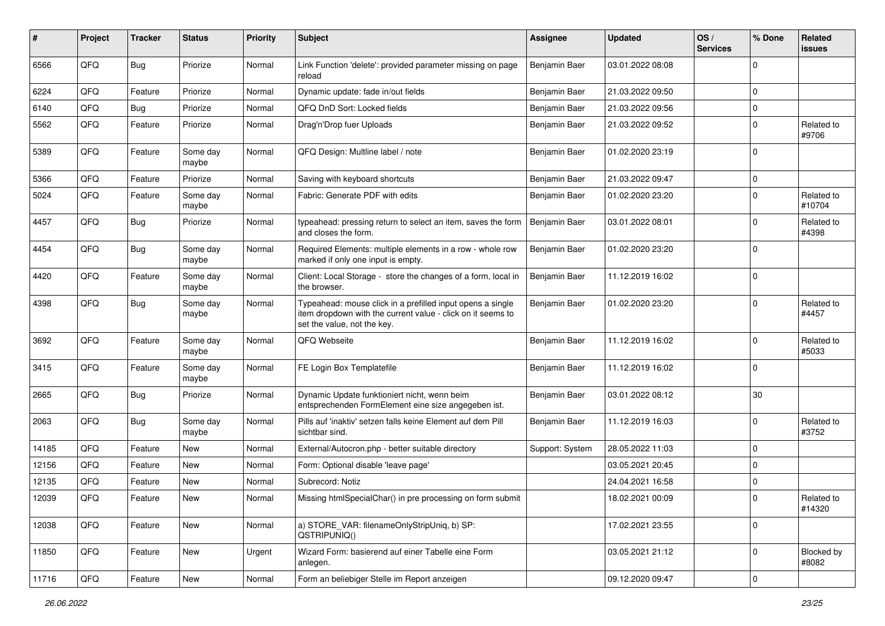| #     | Project | <b>Tracker</b> | <b>Status</b>     | <b>Priority</b> | <b>Subject</b>                                                                                                                                           | <b>Assignee</b> | <b>Updated</b>   | OS/<br><b>Services</b> | % Done      | <b>Related</b><br>issues   |
|-------|---------|----------------|-------------------|-----------------|----------------------------------------------------------------------------------------------------------------------------------------------------------|-----------------|------------------|------------------------|-------------|----------------------------|
| 6566  | QFQ     | Bug            | Priorize          | Normal          | Link Function 'delete': provided parameter missing on page<br>reload                                                                                     | Benjamin Baer   | 03.01.2022 08:08 |                        | $\Omega$    |                            |
| 6224  | QFQ     | Feature        | Priorize          | Normal          | Dynamic update: fade in/out fields                                                                                                                       | Benjamin Baer   | 21.03.2022 09:50 |                        | $\Omega$    |                            |
| 6140  | QFQ     | Bug            | Priorize          | Normal          | QFQ DnD Sort: Locked fields                                                                                                                              | Benjamin Baer   | 21.03.2022 09:56 |                        | $\Omega$    |                            |
| 5562  | QFQ     | Feature        | Priorize          | Normal          | Drag'n'Drop fuer Uploads                                                                                                                                 | Benjamin Baer   | 21.03.2022 09:52 |                        | $\Omega$    | Related to<br>#9706        |
| 5389  | QFQ     | Feature        | Some day<br>maybe | Normal          | QFQ Design: Multline label / note                                                                                                                        | Benjamin Baer   | 01.02.2020 23:19 |                        | $\Omega$    |                            |
| 5366  | QFQ     | Feature        | Priorize          | Normal          | Saving with keyboard shortcuts                                                                                                                           | Benjamin Baer   | 21.03.2022 09:47 |                        | $\mathbf 0$ |                            |
| 5024  | QFQ     | Feature        | Some day<br>maybe | Normal          | Fabric: Generate PDF with edits                                                                                                                          | Benjamin Baer   | 01.02.2020 23:20 |                        | $\Omega$    | Related to<br>#10704       |
| 4457  | QFQ     | <b>Bug</b>     | Priorize          | Normal          | typeahead: pressing return to select an item, saves the form<br>and closes the form.                                                                     | Benjamin Baer   | 03.01.2022 08:01 |                        | $\Omega$    | Related to<br>#4398        |
| 4454  | QFQ     | Bug            | Some day<br>maybe | Normal          | Required Elements: multiple elements in a row - whole row<br>marked if only one input is empty.                                                          | Benjamin Baer   | 01.02.2020 23:20 |                        | $\Omega$    |                            |
| 4420  | QFQ     | Feature        | Some day<br>maybe | Normal          | Client: Local Storage - store the changes of a form, local in<br>the browser.                                                                            | Benjamin Baer   | 11.12.2019 16:02 |                        | $\Omega$    |                            |
| 4398  | QFQ     | Bug            | Some day<br>maybe | Normal          | Typeahead: mouse click in a prefilled input opens a single<br>item dropdown with the current value - click on it seems to<br>set the value, not the key. | Benjamin Baer   | 01.02.2020 23:20 |                        | $\Omega$    | Related to<br>#4457        |
| 3692  | QFQ     | Feature        | Some day<br>maybe | Normal          | QFQ Webseite                                                                                                                                             | Benjamin Baer   | 11.12.2019 16:02 |                        | $\Omega$    | Related to<br>#5033        |
| 3415  | QFQ     | Feature        | Some day<br>maybe | Normal          | FE Login Box Templatefile                                                                                                                                | Benjamin Baer   | 11.12.2019 16:02 |                        | $\Omega$    |                            |
| 2665  | QFQ     | Bug            | Priorize          | Normal          | Dynamic Update funktioniert nicht, wenn beim<br>entsprechenden FormElement eine size angegeben ist.                                                      | Benjamin Baer   | 03.01.2022 08:12 |                        | $30\,$      |                            |
| 2063  | QFQ     | <b>Bug</b>     | Some day<br>maybe | Normal          | Pills auf 'inaktiv' setzen falls keine Element auf dem Pill<br>sichtbar sind.                                                                            | Benjamin Baer   | 11.12.2019 16:03 |                        | $\mathbf 0$ | Related to<br>#3752        |
| 14185 | QFQ     | Feature        | New               | Normal          | External/Autocron.php - better suitable directory                                                                                                        | Support: System | 28.05.2022 11:03 |                        | $\Omega$    |                            |
| 12156 | QFQ     | Feature        | New               | Normal          | Form: Optional disable 'leave page'                                                                                                                      |                 | 03.05.2021 20:45 |                        | $\Omega$    |                            |
| 12135 | QFQ     | Feature        | <b>New</b>        | Normal          | Subrecord: Notiz                                                                                                                                         |                 | 24.04.2021 16:58 |                        | $\mathbf 0$ |                            |
| 12039 | QFQ     | Feature        | New               | Normal          | Missing htmlSpecialChar() in pre processing on form submit                                                                                               |                 | 18.02.2021 00:09 |                        | 0           | Related to<br>#14320       |
| 12038 | QFQ     | Feature        | New               | Normal          | a) STORE_VAR: filenameOnlyStripUniq, b) SP:<br>QSTRIPUNIQ()                                                                                              |                 | 17.02.2021 23:55 |                        | $\mathbf 0$ |                            |
| 11850 | QFQ     | Feature        | New               | Urgent          | Wizard Form: basierend auf einer Tabelle eine Form<br>anlegen.                                                                                           |                 | 03.05.2021 21:12 |                        | $\mathbf 0$ | <b>Blocked by</b><br>#8082 |
| 11716 | QFQ     | Feature        | New               | Normal          | Form an beliebiger Stelle im Report anzeigen                                                                                                             |                 | 09.12.2020 09:47 |                        | $\pmb{0}$   |                            |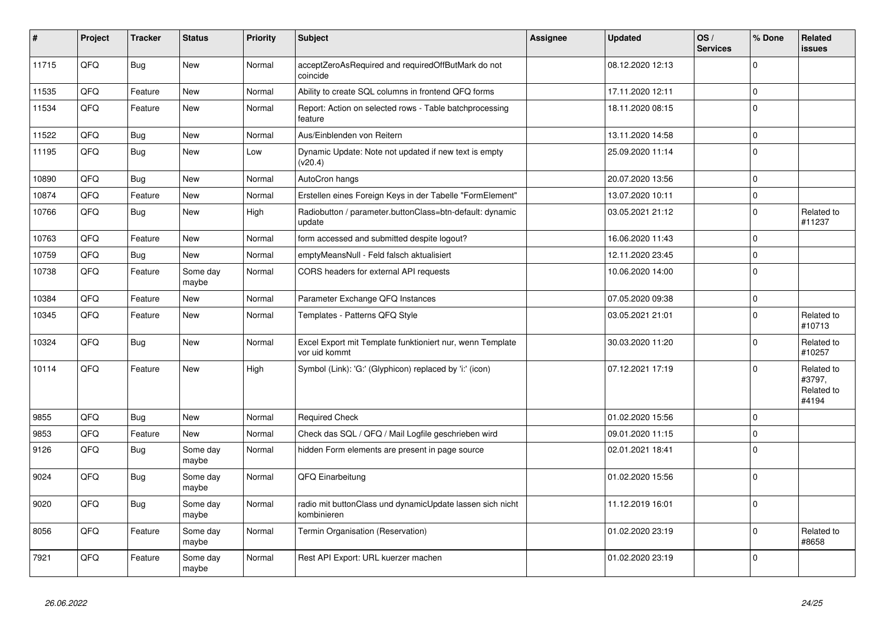| $\vert$ # | Project | <b>Tracker</b> | <b>Status</b>     | <b>Priority</b> | <b>Subject</b>                                                             | <b>Assignee</b> | <b>Updated</b>   | OS/<br><b>Services</b> | % Done      | Related<br><b>issues</b>                    |
|-----------|---------|----------------|-------------------|-----------------|----------------------------------------------------------------------------|-----------------|------------------|------------------------|-------------|---------------------------------------------|
| 11715     | QFQ     | <b>Bug</b>     | <b>New</b>        | Normal          | acceptZeroAsRequired and requiredOffButMark do not<br>coincide             |                 | 08.12.2020 12:13 |                        | $\Omega$    |                                             |
| 11535     | QFQ     | Feature        | <b>New</b>        | Normal          | Ability to create SQL columns in frontend QFQ forms                        |                 | 17.11.2020 12:11 |                        | $\mathbf 0$ |                                             |
| 11534     | QFQ     | Feature        | <b>New</b>        | Normal          | Report: Action on selected rows - Table batchprocessing<br>feature         |                 | 18.11.2020 08:15 |                        | $\Omega$    |                                             |
| 11522     | QFQ     | <b>Bug</b>     | <b>New</b>        | Normal          | Aus/Einblenden von Reitern                                                 |                 | 13.11.2020 14:58 |                        | $\mathbf 0$ |                                             |
| 11195     | QFQ     | <b>Bug</b>     | <b>New</b>        | Low             | Dynamic Update: Note not updated if new text is empty<br>(v20.4)           |                 | 25.09.2020 11:14 |                        | $\Omega$    |                                             |
| 10890     | QFQ     | Bug            | <b>New</b>        | Normal          | AutoCron hangs                                                             |                 | 20.07.2020 13:56 |                        | $\mathbf 0$ |                                             |
| 10874     | QFQ     | Feature        | <b>New</b>        | Normal          | Erstellen eines Foreign Keys in der Tabelle "FormElement"                  |                 | 13.07.2020 10:11 |                        | $\Omega$    |                                             |
| 10766     | QFQ     | <b>Bug</b>     | New               | High            | Radiobutton / parameter.buttonClass=btn-default: dynamic<br>update         |                 | 03.05.2021 21:12 |                        | 0           | Related to<br>#11237                        |
| 10763     | QFQ     | Feature        | <b>New</b>        | Normal          | form accessed and submitted despite logout?                                |                 | 16.06.2020 11:43 |                        | $\mathbf 0$ |                                             |
| 10759     | QFQ     | <b>Bug</b>     | New               | Normal          | emptyMeansNull - Feld falsch aktualisiert                                  |                 | 12.11.2020 23:45 |                        | 0           |                                             |
| 10738     | QFQ     | Feature        | Some day<br>maybe | Normal          | CORS headers for external API requests                                     |                 | 10.06.2020 14:00 |                        | $\Omega$    |                                             |
| 10384     | QFQ     | Feature        | <b>New</b>        | Normal          | Parameter Exchange QFQ Instances                                           |                 | 07.05.2020 09:38 |                        | $\mathbf 0$ |                                             |
| 10345     | QFQ     | Feature        | New               | Normal          | Templates - Patterns QFQ Style                                             |                 | 03.05.2021 21:01 |                        | $\Omega$    | Related to<br>#10713                        |
| 10324     | QFQ     | Bug            | <b>New</b>        | Normal          | Excel Export mit Template funktioniert nur, wenn Template<br>vor uid kommt |                 | 30.03.2020 11:20 |                        | $\Omega$    | Related to<br>#10257                        |
| 10114     | QFQ     | Feature        | New               | High            | Symbol (Link): 'G:' (Glyphicon) replaced by 'i:' (icon)                    |                 | 07.12.2021 17:19 |                        | $\Omega$    | Related to<br>#3797,<br>Related to<br>#4194 |
| 9855      | QFQ     | Bug            | <b>New</b>        | Normal          | <b>Required Check</b>                                                      |                 | 01.02.2020 15:56 |                        | $\Omega$    |                                             |
| 9853      | QFQ     | Feature        | New               | Normal          | Check das SQL / QFQ / Mail Logfile geschrieben wird                        |                 | 09.01.2020 11:15 |                        | $\mathbf 0$ |                                             |
| 9126      | QFQ     | <b>Bug</b>     | Some day<br>maybe | Normal          | hidden Form elements are present in page source                            |                 | 02.01.2021 18:41 |                        | $\mathbf 0$ |                                             |
| 9024      | QFQ     | <b>Bug</b>     | Some day<br>maybe | Normal          | QFQ Einarbeitung                                                           |                 | 01.02.2020 15:56 |                        | $\Omega$    |                                             |
| 9020      | QFQ     | <b>Bug</b>     | Some day<br>maybe | Normal          | radio mit buttonClass und dynamicUpdate lassen sich nicht<br>kombinieren   |                 | 11.12.2019 16:01 |                        | $\Omega$    |                                             |
| 8056      | QFQ     | Feature        | Some day<br>maybe | Normal          | Termin Organisation (Reservation)                                          |                 | 01.02.2020 23:19 |                        | $\Omega$    | Related to<br>#8658                         |
| 7921      | QFQ     | Feature        | Some day<br>maybe | Normal          | Rest API Export: URL kuerzer machen                                        |                 | 01.02.2020 23:19 |                        | $\Omega$    |                                             |